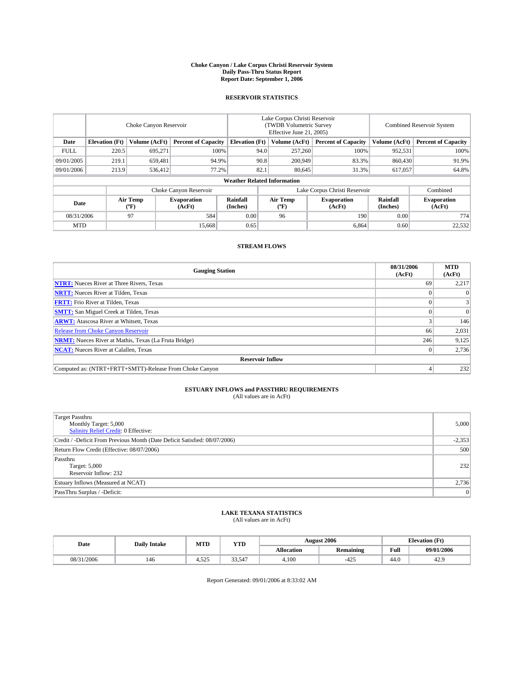#### **Choke Canyon / Lake Corpus Christi Reservoir System Daily Pass-Thru Status Report Report Date: September 1, 2006**

### **RESERVOIR STATISTICS**

|             | Choke Canyon Reservoir |                  |                              |                                    | Lake Corpus Christi Reservoir<br>(TWDB Volumetric Survey<br>Effective June 21, 2005) |                  |                               | <b>Combined Reservoir System</b> |                              |  |
|-------------|------------------------|------------------|------------------------------|------------------------------------|--------------------------------------------------------------------------------------|------------------|-------------------------------|----------------------------------|------------------------------|--|
| Date        | <b>Elevation</b> (Ft)  | Volume (AcFt)    | <b>Percent of Capacity</b>   | <b>Elevation</b> (Ft)              |                                                                                      | Volume (AcFt)    | <b>Percent of Capacity</b>    | Volume (AcFt)                    | <b>Percent of Capacity</b>   |  |
| <b>FULL</b> | 220.5                  | 695.271          |                              | 100%                               | 94.0                                                                                 | 257,260          | 100%                          | 952,531                          | 100%                         |  |
| 09/01/2005  | 219.1                  | 659,481          |                              | 94.9%                              | 90.8                                                                                 | 200,949          | 83.3%                         | 860,430                          | 91.9%                        |  |
| 09/01/2006  | 213.9                  | 536,412          |                              | 77.2%                              | 82.1                                                                                 | 80.645           | 31.3%                         | 617,057                          | 64.8%                        |  |
|             |                        |                  |                              | <b>Weather Related Information</b> |                                                                                      |                  |                               |                                  |                              |  |
|             |                        |                  | Choke Canyon Reservoir       |                                    |                                                                                      |                  | Lake Corpus Christi Reservoir |                                  | Combined                     |  |
| Date        |                        | Air Temp<br>(°F) | <b>Evaporation</b><br>(AcFt) | <b>Rainfall</b><br>(Inches)        |                                                                                      | Air Temp<br>("F) | <b>Evaporation</b><br>(AcFt)  | Rainfall<br>(Inches)             | <b>Evaporation</b><br>(AcFt) |  |
| 08/31/2006  |                        | 97               | 584                          | 0.00                               |                                                                                      | 96               | 190                           | 0.00                             | 774                          |  |
| <b>MTD</b>  |                        |                  | 15,668                       | 0.65                               |                                                                                      |                  | 6,864                         | 0.60                             | 22,532                       |  |

## **STREAM FLOWS**

| <b>Gauging Station</b>                                       | 08/31/2006<br>(AcFt) | <b>MTD</b><br>(AcFt) |
|--------------------------------------------------------------|----------------------|----------------------|
| <b>NTRT:</b> Nueces River at Three Rivers, Texas             | 69                   | 2,217                |
| <b>NRTT:</b> Nueces River at Tilden, Texas                   |                      |                      |
| <b>FRTT:</b> Frio River at Tilden, Texas                     |                      | 3                    |
| <b>SMTT:</b> San Miguel Creek at Tilden, Texas               |                      | $\overline{0}$       |
| <b>ARWT:</b> Atascosa River at Whitsett, Texas               |                      | 146                  |
| <b>Release from Choke Canyon Reservoir</b>                   | 66                   | 2,031                |
| <b>NRMT:</b> Nueces River at Mathis, Texas (La Fruta Bridge) | 246                  | 9,125                |
| <b>NCAT:</b> Nueces River at Calallen, Texas                 |                      | 2,736                |
| <b>Reservoir Inflow</b>                                      |                      |                      |
| Computed as: (NTRT+FRTT+SMTT)-Release From Choke Canyon      |                      | 232                  |

# **ESTUARY INFLOWS and PASSTHRU REQUIREMENTS**<br>(All values are in AcFt)

| <b>Target Passthru</b><br>Monthly Target: 5,000<br>Salinity Relief Credit: 0 Effective: | 5,000    |
|-----------------------------------------------------------------------------------------|----------|
| Credit / -Deficit From Previous Month (Date Deficit Satisfied: 08/07/2006)              | $-2,353$ |
| Return Flow Credit (Effective: 08/07/2006)                                              | 500      |
| Passthru<br>Target: 5,000<br>Reservoir Inflow: 232                                      | 232      |
| Estuary Inflows (Measured at NCAT)                                                      | 2,736    |
| PassThru Surplus / -Deficit:                                                            | 0        |

# **LAKE TEXANA STATISTICS** (All values are in AcFt)

|  | Date       | <b>Daily Intake</b> | MTD          | <b>YTD</b> |            | <b>August 2006</b> | $(T\mathcal{U})$<br><b>Elevation</b> (Ft) |            |
|--|------------|---------------------|--------------|------------|------------|--------------------|-------------------------------------------|------------|
|  |            |                     |              |            | Allocation | <b>Remaining</b>   | Full                                      | 09/01/2006 |
|  | 08/31/2006 | 146                 | 505<br>1.JZJ | 33.547     | 4.100      | $-425$             | 44.0                                      | 44.,       |

Report Generated: 09/01/2006 at 8:33:02 AM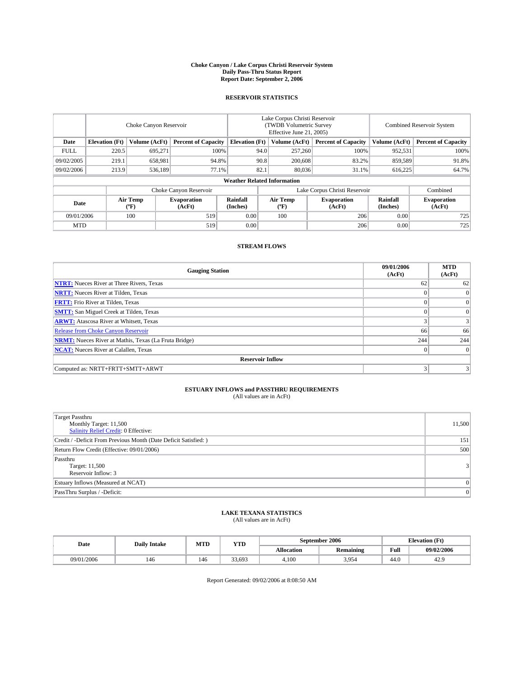#### **Choke Canyon / Lake Corpus Christi Reservoir System Daily Pass-Thru Status Report Report Date: September 2, 2006**

### **RESERVOIR STATISTICS**

|             | Choke Canyon Reservoir |                  |                              |                                    | Lake Corpus Christi Reservoir<br>(TWDB Volumetric Survey<br>Effective June 21, 2005) |                  |                               | <b>Combined Reservoir System</b> |                              |  |
|-------------|------------------------|------------------|------------------------------|------------------------------------|--------------------------------------------------------------------------------------|------------------|-------------------------------|----------------------------------|------------------------------|--|
| Date        | <b>Elevation</b> (Ft)  | Volume (AcFt)    | <b>Percent of Capacity</b>   | <b>Elevation</b> (Ft)              |                                                                                      | Volume (AcFt)    | <b>Percent of Capacity</b>    | Volume (AcFt)                    | <b>Percent of Capacity</b>   |  |
| <b>FULL</b> | 220.5                  | 695.271          | 100%                         |                                    | 94.0                                                                                 | 257,260          | 100%                          | 952,531                          | 100%                         |  |
| 09/02/2005  | 219.1                  | 658,981          | 94.8%                        |                                    | 90.8                                                                                 | 200,608          | 83.2%                         | 859,589                          | 91.8%                        |  |
| 09/02/2006  | 213.9                  | 536,189          | 77.1%                        |                                    | 82.1                                                                                 | 80,036           | 31.1%                         | 616,225                          | 64.7%                        |  |
|             |                        |                  |                              | <b>Weather Related Information</b> |                                                                                      |                  |                               |                                  |                              |  |
|             |                        |                  | Choke Canyon Reservoir       |                                    |                                                                                      |                  | Lake Corpus Christi Reservoir |                                  | Combined                     |  |
| Date        |                        | Air Temp<br>(°F) | <b>Evaporation</b><br>(AcFt) | Rainfall<br>(Inches)               |                                                                                      | Air Temp<br>("F) | <b>Evaporation</b><br>(AcFt)  | Rainfall<br>(Inches)             | <b>Evaporation</b><br>(AcFt) |  |
| 09/01/2006  |                        | 100              | 519                          | 0.00                               |                                                                                      | 100              | 206                           | 0.00                             | 725                          |  |
| <b>MTD</b>  |                        |                  | 519                          | 0.00                               |                                                                                      |                  | 206                           | 0.00                             | 725                          |  |

## **STREAM FLOWS**

| <b>Gauging Station</b>                                       | 09/01/2006<br>(AcFt)    | <b>MTD</b><br>(AcFt) |
|--------------------------------------------------------------|-------------------------|----------------------|
| <b>NTRT:</b> Nueces River at Three Rivers, Texas             | 62                      | 62                   |
| <b>NRTT:</b> Nueces River at Tilden, Texas                   |                         |                      |
| <b>FRTT:</b> Frio River at Tilden, Texas                     |                         | $\Omega$             |
| <b>SMTT:</b> San Miguel Creek at Tilden, Texas               |                         | $\Omega$             |
| <b>ARWT:</b> Atascosa River at Whitsett, Texas               | $\overline{\mathbf{3}}$ | 3                    |
| <b>Release from Choke Canyon Reservoir</b>                   | 66                      | 66                   |
| <b>NRMT:</b> Nueces River at Mathis, Texas (La Fruta Bridge) | 244                     | 244                  |
| <b>NCAT:</b> Nueces River at Calallen, Texas                 | $\Omega$                | $\Omega$             |
| <b>Reservoir Inflow</b>                                      |                         |                      |
| Computed as: NRTT+FRTT+SMTT+ARWT                             | 3                       | 3                    |

# **ESTUARY INFLOWS and PASSTHRU REQUIREMENTS**<br>(All values are in AcFt)

| <b>Target Passthru</b><br>Monthly Target: 11,500<br>Salinity Relief Credit: 0 Effective: | 11,500         |
|------------------------------------------------------------------------------------------|----------------|
| Credit / -Deficit From Previous Month (Date Deficit Satisfied: )                         | 151            |
| Return Flow Credit (Effective: 09/01/2006)                                               | 500            |
| Passthru<br>Target: 11,500<br>Reservoir Inflow: 3                                        | 3 <sup>1</sup> |
| Estuary Inflows (Measured at NCAT)                                                       | 0              |
| PassThru Surplus / -Deficit:                                                             | 0              |

# **LAKE TEXANA STATISTICS** (All values are in AcFt)

| Date       | <b>Daily Intake</b> | MTD | <b>YTD</b>       |            | September 2006   | <b>Elevation (Ft)</b>                   |                  |
|------------|---------------------|-----|------------------|------------|------------------|-----------------------------------------|------------------|
|            |                     |     |                  | Allocation | <b>Remaining</b> | Full<br>the contract of the contract of | 09/02/2006       |
| 09/01/2006 | 146                 | 146 | $\sim$<br>33.693 | 4.100      | 3.954            | 44.0                                    | $\gamma$<br>42.5 |

Report Generated: 09/02/2006 at 8:08:50 AM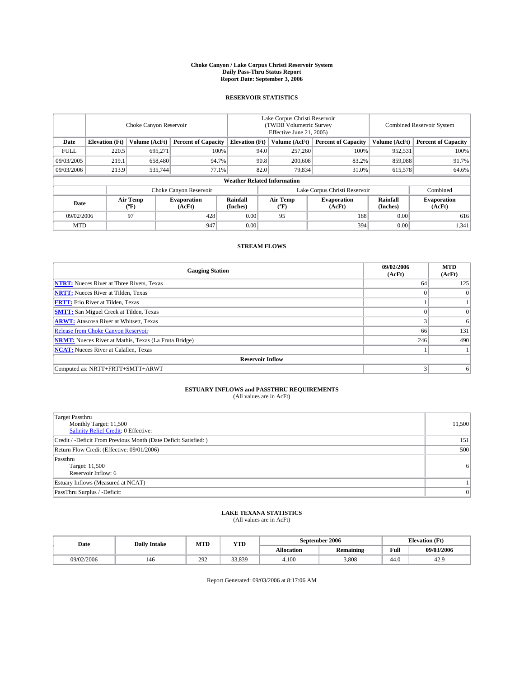#### **Choke Canyon / Lake Corpus Christi Reservoir System Daily Pass-Thru Status Report Report Date: September 3, 2006**

### **RESERVOIR STATISTICS**

|             | Choke Canyon Reservoir |                  |                              |                                    | Lake Corpus Christi Reservoir<br>(TWDB Volumetric Survey<br>Effective June 21, 2005) |                  |                               |                      | Combined Reservoir System    |  |  |
|-------------|------------------------|------------------|------------------------------|------------------------------------|--------------------------------------------------------------------------------------|------------------|-------------------------------|----------------------|------------------------------|--|--|
| Date        | <b>Elevation</b> (Ft)  | Volume (AcFt)    | <b>Percent of Capacity</b>   | <b>Elevation</b> (Ft)              |                                                                                      | Volume (AcFt)    | <b>Percent of Capacity</b>    | Volume (AcFt)        | <b>Percent of Capacity</b>   |  |  |
| <b>FULL</b> | 220.5                  | 695.271          | 100%                         |                                    | 94.0                                                                                 | 257,260          | 100%                          | 952,531              | 100%                         |  |  |
| 09/03/2005  | 219.1                  | 658,480          | 94.7%                        |                                    | 90.8                                                                                 | 200,608          | 83.2%                         | 859,088              | 91.7%                        |  |  |
| 09/03/2006  | 213.9                  | 535,744          | 77.1%                        |                                    | 82.0                                                                                 | 79,834           | 31.0%                         | 615,578              | 64.6%                        |  |  |
|             |                        |                  |                              | <b>Weather Related Information</b> |                                                                                      |                  |                               |                      |                              |  |  |
|             |                        |                  | Choke Canyon Reservoir       |                                    |                                                                                      |                  | Lake Corpus Christi Reservoir |                      | Combined                     |  |  |
| Date        |                        | Air Temp<br>(°F) | <b>Evaporation</b><br>(AcFt) | Rainfall<br>(Inches)               |                                                                                      | Air Temp<br>("F) | <b>Evaporation</b><br>(AcFt)  | Rainfall<br>(Inches) | <b>Evaporation</b><br>(AcFt) |  |  |
| 09/02/2006  |                        | 97               | 428                          | 0.00                               |                                                                                      | 95               | 188                           | 0.00                 | 616                          |  |  |
| <b>MTD</b>  |                        |                  | 947                          | 0.00                               |                                                                                      |                  | 394                           | 0.00                 | 1,341                        |  |  |

## **STREAM FLOWS**

| <b>Gauging Station</b>                                       | 09/02/2006<br>(AcFt) | <b>MTD</b><br>(AcFt) |
|--------------------------------------------------------------|----------------------|----------------------|
| <b>NTRT:</b> Nueces River at Three Rivers, Texas             | 64                   | 125                  |
| <b>NRTT:</b> Nueces River at Tilden, Texas                   | $\theta$             | $\Omega$             |
| <b>FRTT:</b> Frio River at Tilden, Texas                     |                      |                      |
| <b>SMTT:</b> San Miguel Creek at Tilden, Texas               | $\Omega$             | $\overline{0}$       |
| <b>ARWT:</b> Atascosa River at Whitsett, Texas               | 3                    | 6                    |
| <b>Release from Choke Canyon Reservoir</b>                   | 66                   | 131                  |
| <b>NRMT:</b> Nueces River at Mathis, Texas (La Fruta Bridge) | 246                  | 490                  |
| <b>NCAT:</b> Nueces River at Calallen, Texas                 |                      |                      |
| <b>Reservoir Inflow</b>                                      |                      |                      |
| Computed as: NRTT+FRTT+SMTT+ARWT                             | 3                    | 6                    |

# **ESTUARY INFLOWS and PASSTHRU REQUIREMENTS**<br>(All values are in AcFt)

| <b>Target Passthru</b><br>Monthly Target: 11,500<br>Salinity Relief Credit: 0 Effective: | 11,500         |
|------------------------------------------------------------------------------------------|----------------|
| Credit / -Deficit From Previous Month (Date Deficit Satisfied: )                         | 151            |
| Return Flow Credit (Effective: 09/01/2006)                                               | 500            |
| Passthru<br>Target: 11,500<br>Reservoir Inflow: 6                                        | 6              |
| Estuary Inflows (Measured at NCAT)                                                       |                |
| PassThru Surplus / -Deficit:                                                             | $\overline{0}$ |

# **LAKE TEXANA STATISTICS** (All values are in AcFt)

| Date       | <b>Daily Intake</b> | MTD | <b>YTD</b> |            | September 2006   | <b>Elevation (Ft)</b>                   |                  |
|------------|---------------------|-----|------------|------------|------------------|-----------------------------------------|------------------|
|            |                     |     |            | Allocation | <b>Remaining</b> | Full<br>the contract of the contract of | 09/03/2006       |
| 09/02/2006 | 146                 | 292 | 33.839     | 4.100      | 3.808            | 44.0                                    | $\gamma$<br>42.5 |

Report Generated: 09/03/2006 at 8:17:06 AM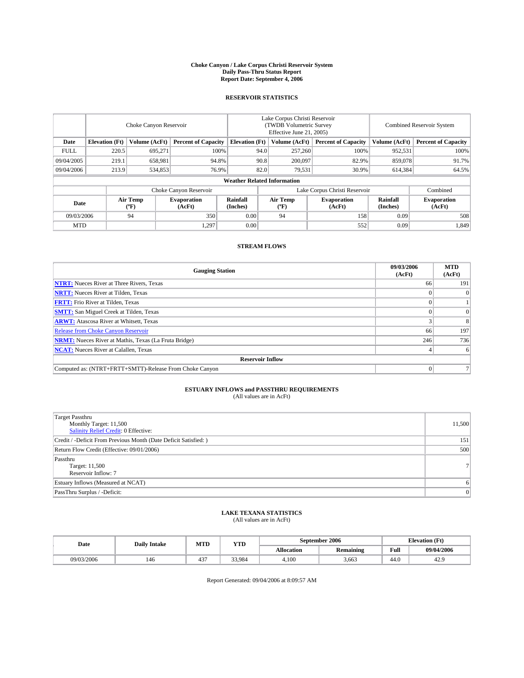#### **Choke Canyon / Lake Corpus Christi Reservoir System Daily Pass-Thru Status Report Report Date: September 4, 2006**

### **RESERVOIR STATISTICS**

|                                                                              | Choke Canyon Reservoir |                       |                              |                                    | Lake Corpus Christi Reservoir<br>(TWDB Volumetric Survey<br>Effective June 21, 2005) |                  |                               |                      | Combined Reservoir System    |  |  |
|------------------------------------------------------------------------------|------------------------|-----------------------|------------------------------|------------------------------------|--------------------------------------------------------------------------------------|------------------|-------------------------------|----------------------|------------------------------|--|--|
| Date<br><b>Elevation</b> (Ft)<br>Volume (AcFt)<br><b>Percent of Capacity</b> |                        | <b>Elevation</b> (Ft) |                              | Volume (AcFt)                      | <b>Percent of Capacity</b>                                                           | Volume (AcFt)    | <b>Percent of Capacity</b>    |                      |                              |  |  |
| <b>FULL</b>                                                                  | 220.5                  | 695.271               | 100%                         |                                    | 94.0                                                                                 | 257,260          | 100%                          | 952,531              | 100%                         |  |  |
| 09/04/2005                                                                   | 219.1                  | 658,981               | 94.8%                        |                                    | 90.8                                                                                 | 200,097          | 82.9%                         | 859,078              | 91.7%                        |  |  |
| 09/04/2006                                                                   | 213.9                  | 534,853               | 76.9%                        |                                    | 82.0                                                                                 | 79,531           | 30.9%                         | 614,384              | 64.5%                        |  |  |
|                                                                              |                        |                       |                              | <b>Weather Related Information</b> |                                                                                      |                  |                               |                      |                              |  |  |
|                                                                              |                        |                       | Choke Canyon Reservoir       |                                    |                                                                                      |                  | Lake Corpus Christi Reservoir |                      | Combined                     |  |  |
| Date                                                                         |                        | Air Temp<br>(°F)      | <b>Evaporation</b><br>(AcFt) | Rainfall<br>(Inches)               |                                                                                      | Air Temp<br>("F) | <b>Evaporation</b><br>(AcFt)  | Rainfall<br>(Inches) | <b>Evaporation</b><br>(AcFt) |  |  |
| 09/03/2006                                                                   |                        | 94                    | 350                          | 0.00                               |                                                                                      | 94               | 158                           | 0.09                 | 508                          |  |  |
| <b>MTD</b>                                                                   |                        |                       | 1,297                        | 0.00                               |                                                                                      |                  | 552                           | 0.09                 | 1,849                        |  |  |

## **STREAM FLOWS**

| <b>Gauging Station</b>                                       | 09/03/2006<br>(AcFt) | <b>MTD</b><br>(AcFt) |
|--------------------------------------------------------------|----------------------|----------------------|
| <b>NTRT:</b> Nueces River at Three Rivers, Texas             | 66                   | 191                  |
| <b>NRTT:</b> Nueces River at Tilden, Texas                   |                      |                      |
| <b>FRTT:</b> Frio River at Tilden, Texas                     |                      |                      |
| <b>SMTT:</b> San Miguel Creek at Tilden, Texas               |                      | $\theta$             |
| <b>ARWT:</b> Atascosa River at Whitsett, Texas               |                      | 8                    |
| <b>Release from Choke Canyon Reservoir</b>                   | 66                   | 197                  |
| <b>NRMT:</b> Nueces River at Mathis, Texas (La Fruta Bridge) | 246                  | 736                  |
| <b>NCAT:</b> Nueces River at Calallen, Texas                 |                      | 6                    |
| <b>Reservoir Inflow</b>                                      |                      |                      |
| Computed as: (NTRT+FRTT+SMTT)-Release From Choke Canyon      | $\Omega$             |                      |

# **ESTUARY INFLOWS and PASSTHRU REQUIREMENTS**<br>(All values are in AcFt)

| <b>Target Passthru</b><br>Monthly Target: 11,500<br>Salinity Relief Credit: 0 Effective: | 11,500         |
|------------------------------------------------------------------------------------------|----------------|
| Credit / -Deficit From Previous Month (Date Deficit Satisfied: )                         | 151            |
| Return Flow Credit (Effective: 09/01/2006)                                               | 500            |
| Passthru<br>Target: 11,500<br>Reservoir Inflow: 7                                        | 7 <sup>1</sup> |
| Estuary Inflows (Measured at NCAT)                                                       | 6              |
| PassThru Surplus / -Deficit:                                                             | $\overline{0}$ |

# **LAKE TEXANA STATISTICS** (All values are in AcFt)

|  | Date       | <b>Daily Intake</b> | MTT<br>IVI I L | YTD    |                   | September 2006   |      | <b>Elevation (Ft)</b> |
|--|------------|---------------------|----------------|--------|-------------------|------------------|------|-----------------------|
|  |            |                     |                |        | <b>Allocation</b> | <b>Remaining</b> | Full | 09/04/2006            |
|  | 09/03/2006 | 140                 | $\sim$<br>45.  | 33.984 | 4.100             | 3.663            | 44.0 | 42.5                  |

Report Generated: 09/04/2006 at 8:09:57 AM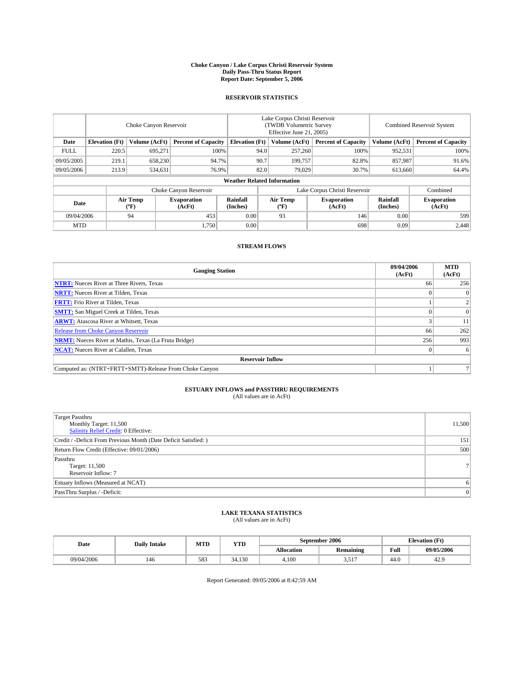#### **Choke Canyon / Lake Corpus Christi Reservoir System Daily Pass-Thru Status Report Report Date: September 5, 2006**

### **RESERVOIR STATISTICS**

|             | Choke Canyon Reservoir             |                                             |                              |                       | Lake Corpus Christi Reservoir<br>(TWDB Volumetric Survey<br>Effective June 21, 2005) |                  |                               |                      | <b>Combined Reservoir System</b> |  |  |  |
|-------------|------------------------------------|---------------------------------------------|------------------------------|-----------------------|--------------------------------------------------------------------------------------|------------------|-------------------------------|----------------------|----------------------------------|--|--|--|
| Date        | <b>Elevation</b> (Ft)              | Volume (AcFt)<br><b>Percent of Capacity</b> |                              | <b>Elevation</b> (Ft) |                                                                                      | Volume (AcFt)    | <b>Percent of Capacity</b>    | Volume (AcFt)        | <b>Percent of Capacity</b>       |  |  |  |
| <b>FULL</b> | 220.5                              | 695.271                                     |                              | 100%                  | 94.0                                                                                 | 257,260          | 100%                          | 952,531              | 100%                             |  |  |  |
| 09/05/2005  | 219.1                              | 658,230                                     |                              | 94.7%                 | 90.7                                                                                 | 199.757          | 82.8%                         | 857,987              | 91.6%                            |  |  |  |
| 09/05/2006  | 213.9                              | 534,631                                     |                              | 76.9%                 | 82.0                                                                                 | 79.029           | 30.7%                         | 613,660              | 64.4%                            |  |  |  |
|             | <b>Weather Related Information</b> |                                             |                              |                       |                                                                                      |                  |                               |                      |                                  |  |  |  |
|             |                                    |                                             | Choke Canyon Reservoir       |                       |                                                                                      |                  | Lake Corpus Christi Reservoir |                      | Combined                         |  |  |  |
| Date        |                                    | Air Temp<br>(°F)                            | <b>Evaporation</b><br>(AcFt) | Rainfall<br>(Inches)  |                                                                                      | Air Temp<br>("F) | <b>Evaporation</b><br>(AcFt)  | Rainfall<br>(Inches) | <b>Evaporation</b><br>(AcFt)     |  |  |  |
| 09/04/2006  |                                    | 94                                          | 453                          | 0.00                  |                                                                                      | 93               | 146                           | 0.00                 | 599                              |  |  |  |
| <b>MTD</b>  |                                    |                                             | 1,750                        | 0.00                  |                                                                                      |                  | 698                           | 0.09                 | 2,448                            |  |  |  |

## **STREAM FLOWS**

| <b>Gauging Station</b>                                       | 09/04/2006<br>(AcFt) | <b>MTD</b><br>(AcFt) |
|--------------------------------------------------------------|----------------------|----------------------|
| <b>NTRT:</b> Nueces River at Three Rivers, Texas             | 66                   | 256                  |
| <b>NRTT:</b> Nueces River at Tilden, Texas                   |                      |                      |
| <b>FRTT:</b> Frio River at Tilden, Texas                     |                      |                      |
| <b>SMTT:</b> San Miguel Creek at Tilden, Texas               |                      | $\Omega$             |
| <b>ARWT:</b> Atascosa River at Whitsett, Texas               |                      | 11                   |
| <b>Release from Choke Canyon Reservoir</b>                   | 66                   | 262                  |
| <b>NRMT:</b> Nueces River at Mathis, Texas (La Fruta Bridge) | 256                  | 993                  |
| <b>NCAT:</b> Nueces River at Calallen, Texas                 |                      | 6                    |
| <b>Reservoir Inflow</b>                                      |                      |                      |
| Computed as: (NTRT+FRTT+SMTT)-Release From Choke Canyon      |                      |                      |

# **ESTUARY INFLOWS and PASSTHRU REQUIREMENTS**<br>(All values are in AcFt)

| <b>Target Passthru</b><br>Monthly Target: 11,500<br>Salinity Relief Credit: 0 Effective: | 11,500 |
|------------------------------------------------------------------------------------------|--------|
| Credit / -Deficit From Previous Month (Date Deficit Satisfied: )                         | 151    |
| Return Flow Credit (Effective: 09/01/2006)                                               | 500    |
| Passthru<br>Target: 11,500<br>Reservoir Inflow: 7                                        | 71     |
| Estuary Inflows (Measured at NCAT)                                                       | 6      |
| PassThru Surplus / -Deficit:                                                             | 0      |

#### **LAKE TEXANA STATISTICS** (All values are in AcFt)

|  | Date       | <b>Daily Intake</b> | MTT<br>IVI I L | <b>YTD</b> | September 2006    |                         |      | <b>Elevation (Ft)</b> |
|--|------------|---------------------|----------------|------------|-------------------|-------------------------|------|-----------------------|
|  |            |                     |                |            | <b>Allocation</b> | <b>Remaining</b>        | Full | 09/05/2006            |
|  | 09/04/2006 | 140                 | 583            | 34.130     | 4.100             | $-1$<br>- - - - - - - - | 44.0 | 42.5                  |

Report Generated: 09/05/2006 at 8:42:59 AM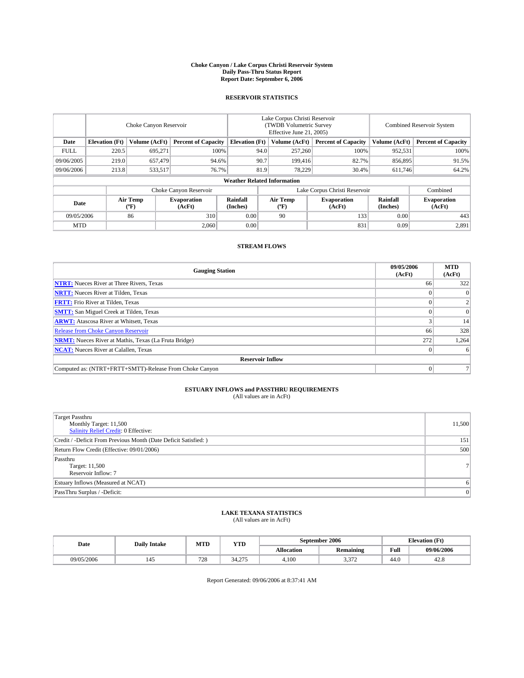#### **Choke Canyon / Lake Corpus Christi Reservoir System Daily Pass-Thru Status Report Report Date: September 6, 2006**

### **RESERVOIR STATISTICS**

|             | Choke Canyon Reservoir                                               |                  |                              |                                    | Lake Corpus Christi Reservoir<br>(TWDB Volumetric Survey<br>Effective June 21, 2005) |                              |                               |                            | Combined Reservoir System    |  |  |
|-------------|----------------------------------------------------------------------|------------------|------------------------------|------------------------------------|--------------------------------------------------------------------------------------|------------------------------|-------------------------------|----------------------------|------------------------------|--|--|
| Date        | <b>Elevation</b> (Ft)<br>Volume (AcFt)<br><b>Percent of Capacity</b> |                  | <b>Elevation</b> (Ft)        |                                    | Volume (AcFt)                                                                        | <b>Percent of Capacity</b>   | Volume (AcFt)                 | <b>Percent of Capacity</b> |                              |  |  |
| <b>FULL</b> | 220.5                                                                | 695,271          |                              | 100%                               | 94.0                                                                                 | 257,260                      | 100%                          | 952,531                    | 100%                         |  |  |
| 09/06/2005  | 219.0                                                                | 657,479          |                              | 94.6%                              | 90.7                                                                                 | 199,416                      | 82.7%                         | 856,895                    | 91.5%                        |  |  |
| 09/06/2006  | 213.8                                                                | 76.7%<br>533,517 |                              |                                    | 81.9                                                                                 | 78,229                       | 30.4%                         | 611,746                    | 64.2%                        |  |  |
|             |                                                                      |                  |                              | <b>Weather Related Information</b> |                                                                                      |                              |                               |                            |                              |  |  |
|             |                                                                      |                  | Choke Canyon Reservoir       |                                    |                                                                                      |                              | Lake Corpus Christi Reservoir |                            | Combined                     |  |  |
| Date        |                                                                      | Air Temp<br>(°F) | <b>Evaporation</b><br>(AcFt) | Rainfall<br>(Inches)               |                                                                                      | Air Temp<br>$(^{o}\text{F})$ | <b>Evaporation</b><br>(AcFt)  | Rainfall<br>(Inches)       | <b>Evaporation</b><br>(AcFt) |  |  |
| 09/05/2006  |                                                                      | 86               | 310                          | 0.00                               |                                                                                      | 90                           | 133                           | 0.00                       | 443                          |  |  |
| <b>MTD</b>  |                                                                      |                  | 2,060                        | 0.00                               |                                                                                      |                              | 831                           | 0.09                       | 2,891                        |  |  |

## **STREAM FLOWS**

| <b>Gauging Station</b>                                       | 09/05/2006<br>(AcFt) | <b>MTD</b><br>(AcFt) |
|--------------------------------------------------------------|----------------------|----------------------|
| <b>NTRT:</b> Nueces River at Three Rivers, Texas             | 66                   | 322                  |
| <b>NRTT:</b> Nueces River at Tilden, Texas                   |                      | $\Omega$             |
| <b>FRTT:</b> Frio River at Tilden, Texas                     |                      |                      |
| <b>SMTT:</b> San Miguel Creek at Tilden, Texas               |                      | $\Omega$             |
| <b>ARWT:</b> Atascosa River at Whitsett, Texas               |                      | 14                   |
| <b>Release from Choke Canyon Reservoir</b>                   | 66                   | 328                  |
| <b>NRMT:</b> Nueces River at Mathis, Texas (La Fruta Bridge) | 272                  | 1,264                |
| <b>NCAT:</b> Nueces River at Calallen, Texas                 |                      | 6                    |
| <b>Reservoir Inflow</b>                                      |                      |                      |
| Computed as: (NTRT+FRTT+SMTT)-Release From Choke Canyon      | $\Omega$             |                      |

# **ESTUARY INFLOWS and PASSTHRU REQUIREMENTS**<br>(All values are in AcFt)

| <b>Target Passthru</b><br>Monthly Target: 11,500<br>Salinity Relief Credit: 0 Effective: | 11,500         |
|------------------------------------------------------------------------------------------|----------------|
| Credit / -Deficit From Previous Month (Date Deficit Satisfied: )                         | 151            |
| Return Flow Credit (Effective: 09/01/2006)                                               | 500            |
| Passthru<br>Target: 11,500<br>Reservoir Inflow: 7                                        | 7 <sup>1</sup> |
| Estuary Inflows (Measured at NCAT)                                                       | 61             |
| PassThru Surplus / -Deficit:                                                             | $\Omega$       |

#### **LAKE TEXANA STATISTICS** (All values are in AcFt)

|  | Date       | <b>Daily Intake</b> | M ATT T<br>IVI I L | <b>YTD</b>        | September 2006    |                     |      | <b>Elevation (Ft)</b> |
|--|------------|---------------------|--------------------|-------------------|-------------------|---------------------|------|-----------------------|
|  |            |                     |                    |                   | <b>Allocation</b> | <b>Remaining</b>    | Full | 09/06/2006            |
|  | 09/05/2006 |                     | 728                | $\sim$<br><i></i> | 4.100             | $\sim$<br>سے الی دے | 44.0 | 44.0                  |

Report Generated: 09/06/2006 at 8:37:41 AM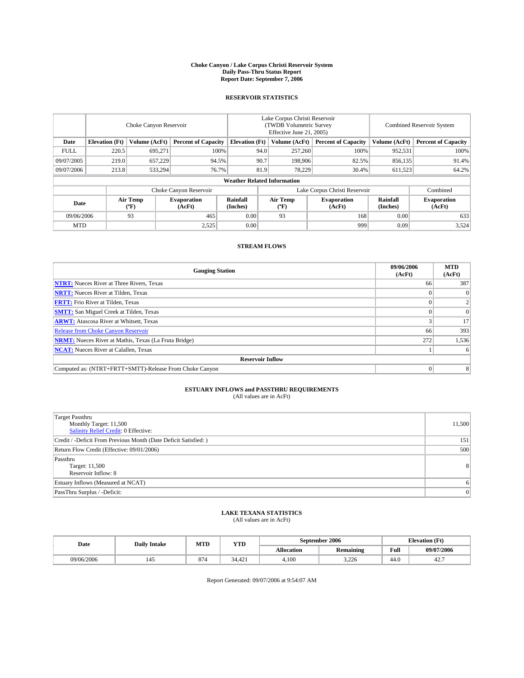#### **Choke Canyon / Lake Corpus Christi Reservoir System Daily Pass-Thru Status Report Report Date: September 7, 2006**

### **RESERVOIR STATISTICS**

|             | Choke Canyon Reservoir |                  |                              |                                    | Lake Corpus Christi Reservoir<br>(TWDB Volumetric Survey<br>Effective June 21, 2005) |                              |                               | Combined Reservoir System |                              |  |
|-------------|------------------------|------------------|------------------------------|------------------------------------|--------------------------------------------------------------------------------------|------------------------------|-------------------------------|---------------------------|------------------------------|--|
| Date        | <b>Elevation</b> (Ft)  | Volume (AcFt)    | <b>Percent of Capacity</b>   | <b>Elevation</b> (Ft)              |                                                                                      | Volume (AcFt)                | <b>Percent of Capacity</b>    | Volume (AcFt)             | <b>Percent of Capacity</b>   |  |
| <b>FULL</b> | 220.5                  | 695.271          |                              | 100%                               | 94.0                                                                                 | 257,260                      | 100%                          | 952,531                   | 100%                         |  |
| 09/07/2005  | 219.0                  | 657,229          | 94.5%                        |                                    | 90.7                                                                                 | 198,906                      | 82.5%                         | 856,135                   | 91.4%                        |  |
| 09/07/2006  | 213.8                  | 533,294          | 76.7%                        |                                    | 81.9                                                                                 | 78,229                       | 30.4%                         | 611,523                   | 64.2%                        |  |
|             |                        |                  |                              | <b>Weather Related Information</b> |                                                                                      |                              |                               |                           |                              |  |
|             |                        |                  | Choke Canyon Reservoir       |                                    |                                                                                      |                              | Lake Corpus Christi Reservoir |                           | Combined                     |  |
| Date        |                        | Air Temp<br>(°F) | <b>Evaporation</b><br>(AcFt) | Rainfall<br>(Inches)               |                                                                                      | Air Temp<br>$(^{o}\text{F})$ | <b>Evaporation</b><br>(AcFt)  | Rainfall<br>(Inches)      | <b>Evaporation</b><br>(AcFt) |  |
| 09/06/2006  |                        | 93               | 465                          | 0.00                               |                                                                                      | 93                           | 168                           | 0.00                      | 633                          |  |
| <b>MTD</b>  |                        |                  | 2,525                        | 0.00                               |                                                                                      |                              | 999                           | 0.09                      | 3,524                        |  |

## **STREAM FLOWS**

| <b>Gauging Station</b>                                       | 09/06/2006<br>(AcFt) | <b>MTD</b><br>(AcFt) |
|--------------------------------------------------------------|----------------------|----------------------|
| <b>NTRT:</b> Nueces River at Three Rivers, Texas             | 66                   | 387                  |
| <b>NRTT:</b> Nueces River at Tilden, Texas                   |                      | $\Omega$             |
| <b>FRTT:</b> Frio River at Tilden, Texas                     |                      |                      |
| <b>SMTT:</b> San Miguel Creek at Tilden, Texas               |                      | $\Omega$             |
| <b>ARWT:</b> Atascosa River at Whitsett, Texas               |                      | 17                   |
| <b>Release from Choke Canyon Reservoir</b>                   | 66                   | 393                  |
| <b>NRMT:</b> Nueces River at Mathis, Texas (La Fruta Bridge) | 272                  | 1,536                |
| <b>NCAT:</b> Nueces River at Calallen, Texas                 |                      | 6                    |
| <b>Reservoir Inflow</b>                                      |                      |                      |
| Computed as: (NTRT+FRTT+SMTT)-Release From Choke Canyon      | $\Omega$             | 8                    |

## **ESTUARY INFLOWS and PASSTHRU REQUIREMENTS**<br>(All values are in AcFt)

| <b>Target Passthru</b><br>Monthly Target: 11,500<br>Salinity Relief Credit: 0 Effective: | 11,500         |
|------------------------------------------------------------------------------------------|----------------|
| Credit / -Deficit From Previous Month (Date Deficit Satisfied: )                         | 151            |
| Return Flow Credit (Effective: 09/01/2006)                                               | 500            |
| Passthru<br>Target: 11,500<br>Reservoir Inflow: 8                                        | 8 <sup>1</sup> |
| Estuary Inflows (Measured at NCAT)                                                       | 61             |
| PassThru Surplus / -Deficit:                                                             | $\Omega$       |

# **LAKE TEXANA STATISTICS** (All values are in AcFt)

|  | Date       | <b>Daily Intake</b> | MTT<br>IVI I L | <b>YTD</b>                                |                   | September 2006   | <b>Elevation (Ft)</b> |            |
|--|------------|---------------------|----------------|-------------------------------------------|-------------------|------------------|-----------------------|------------|
|  |            |                     |                |                                           | <b>Allocation</b> | <b>Remaining</b> | Full                  | 09/07/2006 |
|  | 09/06/2006 |                     | $\sim$<br>874  | $\sqrt{2}$<br>$\sim$ $\lambda$<br>34.42 I | 4.100             | 3226<br>با کے د  | 44.0                  | 44.,       |

Report Generated: 09/07/2006 at 9:54:07 AM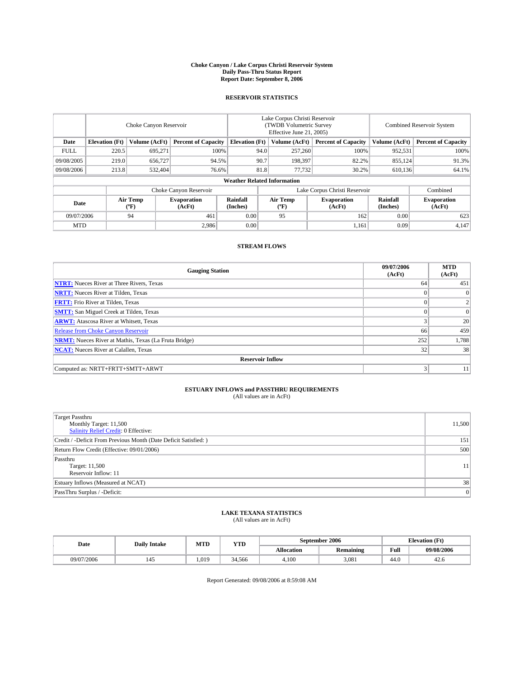#### **Choke Canyon / Lake Corpus Christi Reservoir System Daily Pass-Thru Status Report Report Date: September 8, 2006**

### **RESERVOIR STATISTICS**

|             | Choke Canyon Reservoir |                  |                              |                                    | Lake Corpus Christi Reservoir<br>(TWDB Volumetric Survey<br>Effective June 21, 2005) |                              |                               | Combined Reservoir System |                              |  |
|-------------|------------------------|------------------|------------------------------|------------------------------------|--------------------------------------------------------------------------------------|------------------------------|-------------------------------|---------------------------|------------------------------|--|
| Date        | <b>Elevation</b> (Ft)  | Volume (AcFt)    | <b>Percent of Capacity</b>   | <b>Elevation</b> (Ft)              |                                                                                      | Volume (AcFt)                | <b>Percent of Capacity</b>    | Volume (AcFt)             | <b>Percent of Capacity</b>   |  |
| <b>FULL</b> | 220.5                  | 695.271          |                              | 100%                               | 94.0                                                                                 | 257,260                      | 100%                          | 952,531                   | 100%                         |  |
| 09/08/2005  | 219.0                  | 656,727          | 94.5%                        |                                    | 90.7                                                                                 | 198.397                      | 82.2%                         | 855,124                   | 91.3%                        |  |
| 09/08/2006  | 213.8                  | 532,404          |                              | 76.6%                              | 81.8                                                                                 | 77,732                       | 30.2%                         | 610,136                   | 64.1%                        |  |
|             |                        |                  |                              | <b>Weather Related Information</b> |                                                                                      |                              |                               |                           |                              |  |
|             |                        |                  | Choke Canyon Reservoir       |                                    |                                                                                      |                              | Lake Corpus Christi Reservoir |                           | Combined                     |  |
| Date        |                        | Air Temp<br>(°F) | <b>Evaporation</b><br>(AcFt) | Rainfall<br>(Inches)               |                                                                                      | Air Temp<br>$(^{o}\text{F})$ | <b>Evaporation</b><br>(AcFt)  | Rainfall<br>(Inches)      | <b>Evaporation</b><br>(AcFt) |  |
| 09/07/2006  |                        | 94               | 461                          | 0.00                               |                                                                                      | 95                           | 162                           | 0.00                      | 623                          |  |
| <b>MTD</b>  |                        |                  | 2.986                        | 0.00                               |                                                                                      |                              | 1,161                         | 0.09                      | 4,147                        |  |

## **STREAM FLOWS**

| <b>Gauging Station</b>                                       | 09/07/2006<br>(AcFt) | <b>MTD</b><br>(AcFt) |
|--------------------------------------------------------------|----------------------|----------------------|
| <b>NTRT:</b> Nueces River at Three Rivers, Texas             | 64                   | 451                  |
| <b>NRTT:</b> Nueces River at Tilden, Texas                   |                      |                      |
| <b>FRTT:</b> Frio River at Tilden, Texas                     | $\Omega$             | 2                    |
| <b>SMTT:</b> San Miguel Creek at Tilden, Texas               |                      | $\Omega$             |
| <b>ARWT:</b> Atascosa River at Whitsett, Texas               | 3                    | 20                   |
| <b>Release from Choke Canyon Reservoir</b>                   | 66                   | 459                  |
| <b>NRMT:</b> Nueces River at Mathis, Texas (La Fruta Bridge) | 252                  | 1,788                |
| <b>NCAT:</b> Nueces River at Calallen, Texas                 | 32                   | 38                   |
| <b>Reservoir Inflow</b>                                      |                      |                      |
| Computed as: NRTT+FRTT+SMTT+ARWT                             | 3                    | 11                   |

# **ESTUARY INFLOWS and PASSTHRU REQUIREMENTS**<br>(All values are in AcFt)

| <b>Target Passthru</b><br>Monthly Target: 11,500<br>Salinity Relief Credit: 0 Effective: | 11,500 |
|------------------------------------------------------------------------------------------|--------|
| Credit / -Deficit From Previous Month (Date Deficit Satisfied: )                         | 151    |
| Return Flow Credit (Effective: 09/01/2006)                                               | 500    |
| Passthru<br>Target: 11,500<br>Reservoir Inflow: 11                                       | 11     |
| Estuary Inflows (Measured at NCAT)                                                       | 38     |
| PassThru Surplus / -Deficit:                                                             | 0      |

# **LAKE TEXANA STATISTICS** (All values are in AcFt)

| Date       | <b>Daily Intake</b> | MTD  | <b>YTD</b> |            | September 2006   | <b>Elevation (Ft)</b>                   |            |
|------------|---------------------|------|------------|------------|------------------|-----------------------------------------|------------|
|            |                     |      |            | Allocation | <b>Remaining</b> | Full<br>the contract of the contract of | 09/08/2006 |
| 09/07/2006 |                     | .019 | 34.566     | 4.100      | 3.081            | 44.0                                    | 42.0       |

Report Generated: 09/08/2006 at 8:59:08 AM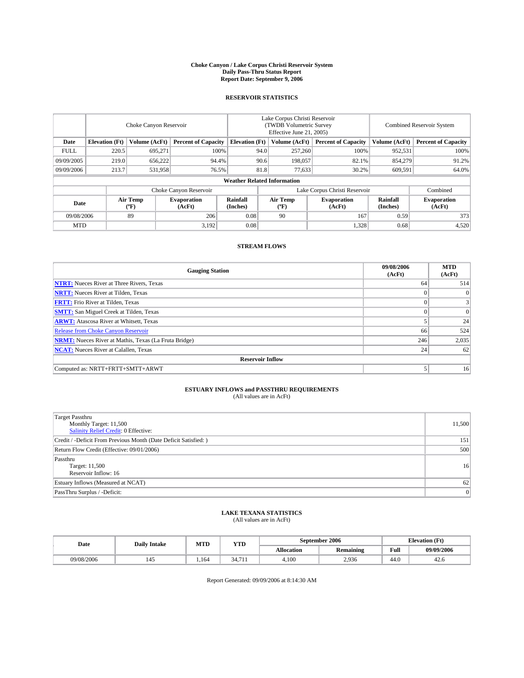#### **Choke Canyon / Lake Corpus Christi Reservoir System Daily Pass-Thru Status Report Report Date: September 9, 2006**

### **RESERVOIR STATISTICS**

|             | Choke Canyon Reservoir |                  |                              |                                    | Lake Corpus Christi Reservoir<br>(TWDB Volumetric Survey<br>Effective June 21, 2005) |                  |                               |                      | Combined Reservoir System    |  |  |
|-------------|------------------------|------------------|------------------------------|------------------------------------|--------------------------------------------------------------------------------------|------------------|-------------------------------|----------------------|------------------------------|--|--|
| Date        | <b>Elevation</b> (Ft)  | Volume (AcFt)    | <b>Percent of Capacity</b>   | <b>Elevation</b> (Ft)              |                                                                                      | Volume (AcFt)    | <b>Percent of Capacity</b>    | Volume (AcFt)        | <b>Percent of Capacity</b>   |  |  |
| <b>FULL</b> | 220.5                  | 695.271          | 100%                         |                                    | 94.0                                                                                 | 257,260          | 100%                          | 952,531              | 100%                         |  |  |
| 09/09/2005  | 219.0                  | 656,222          | 94.4%                        |                                    | 90.6                                                                                 | 198,057          | 82.1%                         | 854,279              | 91.2%                        |  |  |
| 09/09/2006  | 213.7                  | 531,958          | 76.5%                        |                                    | 81.8                                                                                 | 77,633           | 30.2%                         | 609,591              | 64.0%                        |  |  |
|             |                        |                  |                              | <b>Weather Related Information</b> |                                                                                      |                  |                               |                      |                              |  |  |
|             |                        |                  | Choke Canyon Reservoir       |                                    |                                                                                      |                  | Lake Corpus Christi Reservoir |                      | Combined                     |  |  |
| Date        |                        | Air Temp<br>(°F) | <b>Evaporation</b><br>(AcFt) | Rainfall<br>(Inches)               |                                                                                      | Air Temp<br>("F) | <b>Evaporation</b><br>(AcFt)  | Rainfall<br>(Inches) | <b>Evaporation</b><br>(AcFt) |  |  |
| 09/08/2006  |                        | 89               | 206                          | 0.08                               |                                                                                      | 90               | 167                           | 0.59                 | 373                          |  |  |
| <b>MTD</b>  |                        |                  | 3,192                        | 0.08                               |                                                                                      |                  | 1,328                         | 0.68                 | 4,520                        |  |  |

### **STREAM FLOWS**

| <b>Gauging Station</b>                                       | 09/08/2006<br>(AcFt) | <b>MTD</b><br>(AcFt) |
|--------------------------------------------------------------|----------------------|----------------------|
| <b>NTRT:</b> Nueces River at Three Rivers, Texas             | 64                   | 514                  |
| <b>NRTT:</b> Nueces River at Tilden, Texas                   | $\theta$             | $\Omega$             |
| <b>FRTT:</b> Frio River at Tilden, Texas                     | $\Omega$             | $\frac{3}{2}$        |
| <b>SMTT:</b> San Miguel Creek at Tilden, Texas               | $\theta$             | $\overline{0}$       |
| <b>ARWT:</b> Atascosa River at Whitsett, Texas               |                      | 24                   |
| <b>Release from Choke Canyon Reservoir</b>                   | 66                   | 524                  |
| <b>NRMT:</b> Nueces River at Mathis, Texas (La Fruta Bridge) | 246                  | 2,035                |
| <b>NCAT:</b> Nueces River at Calallen, Texas                 | 24                   | 62                   |
| <b>Reservoir Inflow</b>                                      |                      |                      |
| Computed as: NRTT+FRTT+SMTT+ARWT                             | 5                    | 16                   |

# **ESTUARY INFLOWS and PASSTHRU REQUIREMENTS**<br>(All values are in AcFt)

| <b>Target Passthru</b><br>Monthly Target: 11,500<br>Salinity Relief Credit: 0 Effective: | 11,500 |
|------------------------------------------------------------------------------------------|--------|
| Credit / -Deficit From Previous Month (Date Deficit Satisfied: )                         | 151    |
| Return Flow Credit (Effective: 09/01/2006)                                               | 500    |
| Passthru<br>Target: 11,500<br>Reservoir Inflow: 16                                       | 16     |
| Estuary Inflows (Measured at NCAT)                                                       | 62     |
| PassThru Surplus / -Deficit:                                                             | 0      |

#### **LAKE TEXANA STATISTICS** (All values are in AcFt)

| Date       | <b>Daily Intake</b> | MTD  | <b>YTD</b> |            | September 2006   | <b>Elevation</b> (Ft)                   |            |
|------------|---------------------|------|------------|------------|------------------|-----------------------------------------|------------|
|            |                     |      |            | Allocation | <b>Remaining</b> | Full<br>the contract of the contract of | 09/09/2006 |
| 09/08/2006 |                     | .164 | 34.<br>.   | 4.100      | 2.936            | 44.0                                    | 42.0       |

Report Generated: 09/09/2006 at 8:14:30 AM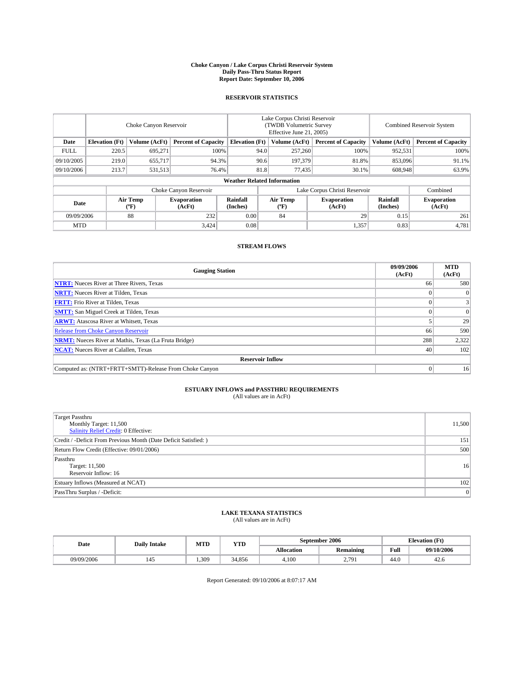#### **Choke Canyon / Lake Corpus Christi Reservoir System Daily Pass-Thru Status Report Report Date: September 10, 2006**

### **RESERVOIR STATISTICS**

|             | Choke Canyon Reservoir             |                  |                              |                       | Lake Corpus Christi Reservoir<br>(TWDB Volumetric Survey<br>Effective June 21, 2005) |                  |                               | <b>Combined Reservoir System</b> |                              |  |  |
|-------------|------------------------------------|------------------|------------------------------|-----------------------|--------------------------------------------------------------------------------------|------------------|-------------------------------|----------------------------------|------------------------------|--|--|
| Date        | <b>Elevation</b> (Ft)              | Volume (AcFt)    | <b>Percent of Capacity</b>   | <b>Elevation</b> (Ft) |                                                                                      | Volume (AcFt)    | <b>Percent of Capacity</b>    | Volume (AcFt)                    | <b>Percent of Capacity</b>   |  |  |
| <b>FULL</b> | 220.5                              | 695.271          |                              | 100%                  | 94.0                                                                                 | 257,260          | 100%                          | 952,531                          | 100%                         |  |  |
| 09/10/2005  | 219.0                              | 655,717          |                              | 94.3%                 | 90.6                                                                                 | 197,379          | 81.8%                         | 853,096                          | 91.1%                        |  |  |
| 09/10/2006  | 213.7                              | 531,513          |                              | 76.4%                 | 81.8                                                                                 | 77,435           | 30.1%                         | 608,948                          | 63.9%                        |  |  |
|             | <b>Weather Related Information</b> |                  |                              |                       |                                                                                      |                  |                               |                                  |                              |  |  |
|             |                                    |                  | Choke Canyon Reservoir       |                       |                                                                                      |                  | Lake Corpus Christi Reservoir |                                  | Combined                     |  |  |
| Date        |                                    | Air Temp<br>(°F) | <b>Evaporation</b><br>(AcFt) | Rainfall<br>(Inches)  |                                                                                      | Air Temp<br>("F) | <b>Evaporation</b><br>(AcFt)  | Rainfall<br>(Inches)             | <b>Evaporation</b><br>(AcFt) |  |  |
| 09/09/2006  |                                    | 88               | 232                          | 0.00                  |                                                                                      | 84               | 29                            | 0.15                             | 261                          |  |  |
| <b>MTD</b>  |                                    |                  | 3,424                        | 0.08                  |                                                                                      |                  | 1,357                         | 0.83                             | 4,781                        |  |  |

## **STREAM FLOWS**

| <b>Gauging Station</b>                                       | 09/09/2006<br>(AcFt) | <b>MTD</b><br>(AcFt) |
|--------------------------------------------------------------|----------------------|----------------------|
| <b>NTRT:</b> Nueces River at Three Rivers, Texas             | 66                   | 580                  |
| <b>NRTT:</b> Nueces River at Tilden, Texas                   |                      | $\Omega$             |
| <b>FRTT:</b> Frio River at Tilden, Texas                     |                      |                      |
| <b>SMTT:</b> San Miguel Creek at Tilden, Texas               |                      | $\Omega$             |
| <b>ARWT:</b> Atascosa River at Whitsett, Texas               |                      | 29                   |
| <b>Release from Choke Canyon Reservoir</b>                   | 66                   | 590                  |
| <b>NRMT:</b> Nueces River at Mathis, Texas (La Fruta Bridge) | 288                  | 2,322                |
| <b>NCAT:</b> Nueces River at Calallen, Texas                 | 40                   | 102                  |
| <b>Reservoir Inflow</b>                                      |                      |                      |
| Computed as: (NTRT+FRTT+SMTT)-Release From Choke Canyon      | $\Omega$             | 16                   |

# **ESTUARY INFLOWS and PASSTHRU REQUIREMENTS**<br>(All values are in AcFt)

| <b>Target Passthru</b><br>Monthly Target: 11,500<br>Salinity Relief Credit: 0 Effective: | 11,500 |
|------------------------------------------------------------------------------------------|--------|
| Credit / -Deficit From Previous Month (Date Deficit Satisfied: )                         | 151    |
| Return Flow Credit (Effective: 09/01/2006)                                               | 500    |
| Passthru<br>Target: 11,500<br>Reservoir Inflow: 16                                       | 16     |
| Estuary Inflows (Measured at NCAT)                                                       | 102    |
| PassThru Surplus / -Deficit:                                                             | 0      |

#### **LAKE TEXANA STATISTICS** (All values are in AcFt)

|  | Date       | <b>Daily Intake</b> | MTT<br>YTD<br>IVI I L |        | September 2006    |                  |      | <b>Elevation (Ft)</b> |  |
|--|------------|---------------------|-----------------------|--------|-------------------|------------------|------|-----------------------|--|
|  |            |                     |                       |        | <b>Allocation</b> | <b>Remaining</b> | Full | 09/10/2006            |  |
|  | 09/09/2006 |                     | .309                  | 34.856 | 4.100             | 270<br>2.121     | 44.0 | 42.0                  |  |

Report Generated: 09/10/2006 at 8:07:17 AM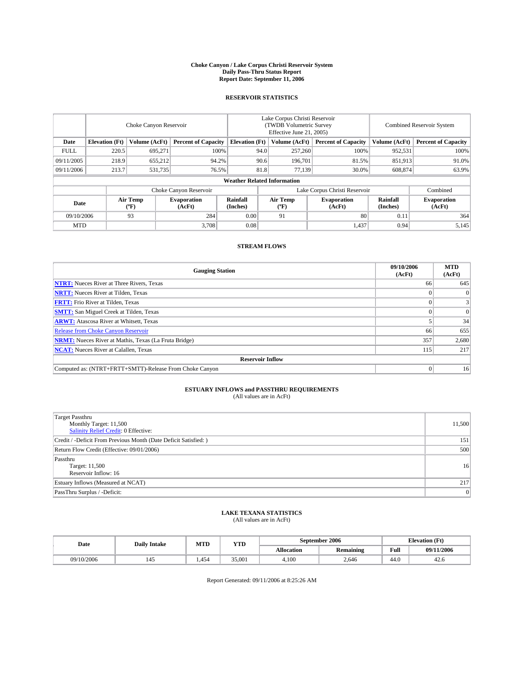#### **Choke Canyon / Lake Corpus Christi Reservoir System Daily Pass-Thru Status Report Report Date: September 11, 2006**

### **RESERVOIR STATISTICS**

|             | Choke Canyon Reservoir             |                  |                              |                             | Lake Corpus Christi Reservoir<br>(TWDB Volumetric Survey<br>Effective June 21, 2005) |                  |                               | <b>Combined Reservoir System</b> |                              |  |  |
|-------------|------------------------------------|------------------|------------------------------|-----------------------------|--------------------------------------------------------------------------------------|------------------|-------------------------------|----------------------------------|------------------------------|--|--|
| Date        | <b>Elevation</b> (Ft)              | Volume (AcFt)    | <b>Percent of Capacity</b>   | <b>Elevation</b> (Ft)       |                                                                                      | Volume (AcFt)    | <b>Percent of Capacity</b>    | Volume (AcFt)                    | <b>Percent of Capacity</b>   |  |  |
| <b>FULL</b> | 220.5                              | 695.271          |                              | 100%                        | 94.0                                                                                 | 257,260          | 100%                          | 952,531                          | 100%                         |  |  |
| 09/11/2005  | 218.9                              | 655,212          | 94.2%                        |                             | 90.6                                                                                 | 196.701          | 81.5%                         | 851,913                          | 91.0%                        |  |  |
| 09/11/2006  | 213.7                              | 531,735          | 76.5%                        |                             | 81.8                                                                                 | 77,139           | 30.0%                         | 608,874                          | 63.9%                        |  |  |
|             | <b>Weather Related Information</b> |                  |                              |                             |                                                                                      |                  |                               |                                  |                              |  |  |
|             |                                    |                  | Choke Canyon Reservoir       |                             |                                                                                      |                  | Lake Corpus Christi Reservoir |                                  | Combined                     |  |  |
| Date        |                                    | Air Temp<br>(°F) | <b>Evaporation</b><br>(AcFt) | <b>Rainfall</b><br>(Inches) |                                                                                      | Air Temp<br>("F) | <b>Evaporation</b><br>(AcFt)  | Rainfall<br>(Inches)             | <b>Evaporation</b><br>(AcFt) |  |  |
| 09/10/2006  |                                    | 93               | 284                          | 0.00                        |                                                                                      | 91               | 80                            | 0.11                             | 364                          |  |  |
| <b>MTD</b>  |                                    |                  | 3,708                        | 0.08                        |                                                                                      |                  | 1,437                         | 0.94                             | 5,145                        |  |  |

## **STREAM FLOWS**

| <b>Gauging Station</b>                                       | 09/10/2006<br>(AcFt) | <b>MTD</b><br>(AcFt) |
|--------------------------------------------------------------|----------------------|----------------------|
| <b>NTRT:</b> Nueces River at Three Rivers, Texas             | 66                   | 645                  |
| <b>NRTT:</b> Nueces River at Tilden, Texas                   |                      | $\Omega$             |
| <b>FRTT:</b> Frio River at Tilden, Texas                     |                      | 3                    |
| <b>SMTT:</b> San Miguel Creek at Tilden, Texas               |                      | $\overline{0}$       |
| <b>ARWT:</b> Atascosa River at Whitsett, Texas               |                      | 34                   |
| <b>Release from Choke Canyon Reservoir</b>                   | 66                   | 655                  |
| <b>NRMT:</b> Nueces River at Mathis, Texas (La Fruta Bridge) | 357                  | 2,680                |
| <b>NCAT:</b> Nueces River at Calallen, Texas                 | 115                  | 217                  |
| <b>Reservoir Inflow</b>                                      |                      |                      |
| Computed as: (NTRT+FRTT+SMTT)-Release From Choke Canyon      |                      | 16 <sup>1</sup>      |

# **ESTUARY INFLOWS and PASSTHRU REQUIREMENTS**<br>(All values are in AcFt)

| <b>Target Passthru</b><br>Monthly Target: 11,500<br>Salinity Relief Credit: 0 Effective: | 11,500 |
|------------------------------------------------------------------------------------------|--------|
| Credit / -Deficit From Previous Month (Date Deficit Satisfied: )                         | 151    |
| Return Flow Credit (Effective: 09/01/2006)                                               | 500    |
| Passthru<br>Target: 11,500<br>Reservoir Inflow: 16                                       | 16     |
| Estuary Inflows (Measured at NCAT)                                                       | 217    |
| PassThru Surplus / -Deficit:                                                             | 0      |

#### **LAKE TEXANA STATISTICS** (All values are in AcFt)

|  | Date       | MTT<br><b>YTD</b><br><b>Daily Intake</b><br>IVI I L |      |        | September 2006    | <b>Elevation (Ft)</b> |      |            |
|--|------------|-----------------------------------------------------|------|--------|-------------------|-----------------------|------|------------|
|  |            |                                                     |      |        | <b>Allocation</b> | <b>Remaining</b>      | Full | 09/11/2006 |
|  | 09/10/2006 |                                                     | .454 | 35,001 | 4.100             | 2.646                 | 44.0 | 42.0       |

Report Generated: 09/11/2006 at 8:25:26 AM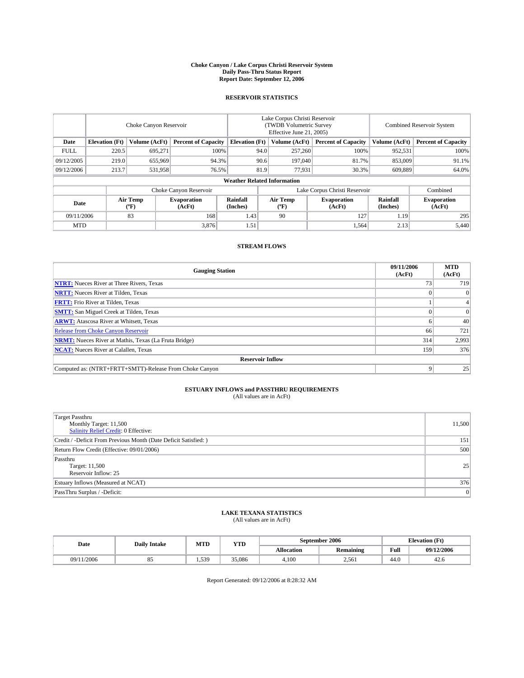#### **Choke Canyon / Lake Corpus Christi Reservoir System Daily Pass-Thru Status Report Report Date: September 12, 2006**

### **RESERVOIR STATISTICS**

|             | Choke Canyon Reservoir             |                         |                              |                       | Lake Corpus Christi Reservoir<br>(TWDB Volumetric Survey<br>Effective June 21, 2005) |                  |                               | Combined Reservoir System |                              |  |  |
|-------------|------------------------------------|-------------------------|------------------------------|-----------------------|--------------------------------------------------------------------------------------|------------------|-------------------------------|---------------------------|------------------------------|--|--|
| Date        | <b>Elevation</b> (Ft)              | Volume (AcFt)           | <b>Percent of Capacity</b>   | <b>Elevation</b> (Ft) |                                                                                      | Volume (AcFt)    | <b>Percent of Capacity</b>    | Volume (AcFt)             | <b>Percent of Capacity</b>   |  |  |
| <b>FULL</b> | 220.5                              | 695.271                 |                              | 100%                  | 94.0                                                                                 | 257,260          | 100%                          | 952,531                   | 100%                         |  |  |
| 09/12/2005  | 219.0                              | 655,969                 | 94.3%                        |                       | 90.6                                                                                 | 197,040          | 81.7%                         | 853,009                   | 91.1%                        |  |  |
| 09/12/2006  | 213.7                              | 531,958                 | 76.5%                        |                       | 81.9                                                                                 | 77,931           | 30.3%                         | 609.889                   | 64.0%                        |  |  |
|             | <b>Weather Related Information</b> |                         |                              |                       |                                                                                      |                  |                               |                           |                              |  |  |
|             |                                    |                         | Choke Canyon Reservoir       |                       |                                                                                      |                  | Lake Corpus Christi Reservoir |                           | Combined                     |  |  |
| Date        |                                    | <b>Air Temp</b><br>(°F) | <b>Evaporation</b><br>(AcFt) | Rainfall<br>(Inches)  |                                                                                      | Air Temp<br>("F) | <b>Evaporation</b><br>(AcFt)  | Rainfall<br>(Inches)      | <b>Evaporation</b><br>(AcFt) |  |  |
| 09/11/2006  |                                    | 83                      | 168                          | 1.43                  |                                                                                      | 90               | 127                           | 1.19                      | 295                          |  |  |
| <b>MTD</b>  |                                    |                         | 3,876                        | 1.51                  |                                                                                      |                  | 1,564                         | 2.13                      | 5,440                        |  |  |

## **STREAM FLOWS**

| <b>Gauging Station</b>                                       | 09/11/2006<br>(AcFt) | <b>MTD</b><br>(AcFt) |
|--------------------------------------------------------------|----------------------|----------------------|
| <b>NTRT:</b> Nueces River at Three Rivers, Texas             |                      | 719                  |
| <b>NRTT:</b> Nueces River at Tilden, Texas                   |                      | $\Omega$             |
| <b>FRTT:</b> Frio River at Tilden, Texas                     |                      | 4                    |
| <b>SMTT:</b> San Miguel Creek at Tilden, Texas               |                      | $\overline{0}$       |
| <b>ARWT:</b> Atascosa River at Whitsett, Texas               |                      | 40                   |
| <b>Release from Choke Canyon Reservoir</b>                   | 66                   | 721                  |
| <b>NRMT:</b> Nueces River at Mathis, Texas (La Fruta Bridge) | 314                  | 2,993                |
| <b>NCAT:</b> Nueces River at Calallen, Texas                 | 159                  | 376                  |
| <b>Reservoir Inflow</b>                                      |                      |                      |
| Computed as: (NTRT+FRTT+SMTT)-Release From Choke Canyon      |                      | 25                   |

# **ESTUARY INFLOWS and PASSTHRU REQUIREMENTS**<br>(All values are in AcFt)

| <b>Target Passthru</b><br>Monthly Target: 11,500<br>Salinity Relief Credit: 0 Effective: | 11,500 |
|------------------------------------------------------------------------------------------|--------|
| Credit / -Deficit From Previous Month (Date Deficit Satisfied: )                         | 151    |
| Return Flow Credit (Effective: 09/01/2006)                                               | 500    |
| Passthru<br>Target: 11,500<br>Reservoir Inflow: 25                                       | 25     |
| Estuary Inflows (Measured at NCAT)                                                       | 376    |
| PassThru Surplus / -Deficit:                                                             | 0      |

#### **LAKE TEXANA STATISTICS** (All values are in AcFt)

| Date       | <b>Daily Intake</b> | MTD  | <b>YTD</b> | September 2006 |                  |                                         | <b>Elevation</b> (Ft) |  |
|------------|---------------------|------|------------|----------------|------------------|-----------------------------------------|-----------------------|--|
|            |                     |      |            | Allocation     | <b>Remaining</b> | Full<br>the contract of the contract of | 09/12/2006            |  |
| 09/11/2006 | റ്യ                 | .539 | 35,086     | 4.100          | 2.561            | 44.0                                    | 42.0                  |  |

Report Generated: 09/12/2006 at 8:28:32 AM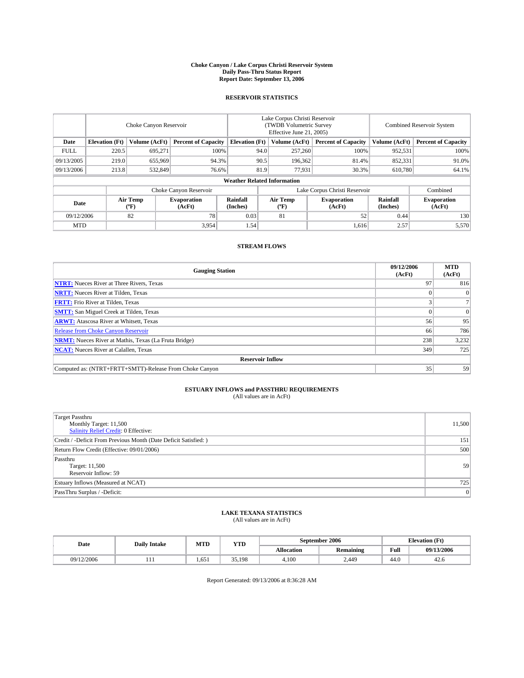#### **Choke Canyon / Lake Corpus Christi Reservoir System Daily Pass-Thru Status Report Report Date: September 13, 2006**

### **RESERVOIR STATISTICS**

|             | Choke Canyon Reservoir             |                  |                              |                             | Lake Corpus Christi Reservoir<br>(TWDB Volumetric Survey<br>Effective June 21, 2005) |                  |                               | <b>Combined Reservoir System</b> |                              |  |
|-------------|------------------------------------|------------------|------------------------------|-----------------------------|--------------------------------------------------------------------------------------|------------------|-------------------------------|----------------------------------|------------------------------|--|
| Date        | <b>Elevation</b> (Ft)              | Volume (AcFt)    | <b>Percent of Capacity</b>   | <b>Elevation</b> (Ft)       |                                                                                      | Volume (AcFt)    | <b>Percent of Capacity</b>    | Volume (AcFt)                    | <b>Percent of Capacity</b>   |  |
| <b>FULL</b> | 220.5                              | 695.271          |                              | 100%                        | 94.0                                                                                 | 257,260          | 100%                          | 952,531                          | 100%                         |  |
| 09/13/2005  | 219.0                              | 655,969          |                              | 94.3%                       | 90.5                                                                                 | 196,362          | 81.4%                         | 852,331                          | 91.0%                        |  |
| 09/13/2006  | 213.8                              | 532,849          |                              | 76.6%                       | 81.9                                                                                 | 77,931           | 30.3%                         | 610,780                          | 64.1%                        |  |
|             | <b>Weather Related Information</b> |                  |                              |                             |                                                                                      |                  |                               |                                  |                              |  |
|             |                                    |                  | Choke Canyon Reservoir       |                             |                                                                                      |                  | Lake Corpus Christi Reservoir |                                  | Combined                     |  |
| Date        |                                    | Air Temp<br>(°F) | <b>Evaporation</b><br>(AcFt) | <b>Rainfall</b><br>(Inches) |                                                                                      | Air Temp<br>("F) | <b>Evaporation</b><br>(AcFt)  | Rainfall<br>(Inches)             | <b>Evaporation</b><br>(AcFt) |  |
| 09/12/2006  |                                    | 82               | 78                           | 0.03                        |                                                                                      | 81               | 52                            | 0.44                             | 130                          |  |
| <b>MTD</b>  |                                    |                  | 3,954                        | 1.54                        |                                                                                      |                  | 1,616                         | 2.57                             | 5,570                        |  |

## **STREAM FLOWS**

| <b>Gauging Station</b>                                       | 09/12/2006<br>(AcFt) | <b>MTD</b><br>(AcFt) |
|--------------------------------------------------------------|----------------------|----------------------|
| <b>NTRT:</b> Nueces River at Three Rivers, Texas             | 97                   | 816                  |
| <b>NRTT:</b> Nueces River at Tilden, Texas                   |                      | $\Omega$             |
| <b>FRTT:</b> Frio River at Tilden, Texas                     |                      |                      |
| <b>SMTT:</b> San Miguel Creek at Tilden, Texas               |                      | $\overline{0}$       |
| <b>ARWT:</b> Atascosa River at Whitsett, Texas               | 56                   | 95                   |
| <b>Release from Choke Canyon Reservoir</b>                   | 66                   | 786                  |
| <b>NRMT:</b> Nueces River at Mathis, Texas (La Fruta Bridge) | 238                  | 3,232                |
| <b>NCAT:</b> Nueces River at Calallen, Texas                 | 349                  | 725                  |
| <b>Reservoir Inflow</b>                                      |                      |                      |
| Computed as: (NTRT+FRTT+SMTT)-Release From Choke Canyon      | 35                   | 59                   |

# **ESTUARY INFLOWS and PASSTHRU REQUIREMENTS**<br>(All values are in AcFt)

| <b>Target Passthru</b><br>Monthly Target: 11,500<br>Salinity Relief Credit: 0 Effective: | 11,500 |
|------------------------------------------------------------------------------------------|--------|
| Credit / -Deficit From Previous Month (Date Deficit Satisfied: )                         | 151    |
| Return Flow Credit (Effective: 09/01/2006)                                               | 500    |
| Passthru<br>Target: 11,500<br>Reservoir Inflow: 59                                       | 59     |
| Estuary Inflows (Measured at NCAT)                                                       | 725    |
| PassThru Surplus / -Deficit:                                                             | 0      |

#### **LAKE TEXANA STATISTICS** (All values are in AcFt)

|  | Date       | <b>Daily Intake</b> | MTT<br>IVI I L | <b>YTD</b>   |            | September 2006   | <b>Elevation (Ft)</b> |            |
|--|------------|---------------------|----------------|--------------|------------|------------------|-----------------------|------------|
|  |            |                     |                |              | Allocation | <b>Remaining</b> | Full                  | 09/13/2006 |
|  | 09/12/2006 | .                   | 1.651          | 25<br>35.198 | 4.100      | 2.449            | 44.0                  | 42.0       |

Report Generated: 09/13/2006 at 8:36:28 AM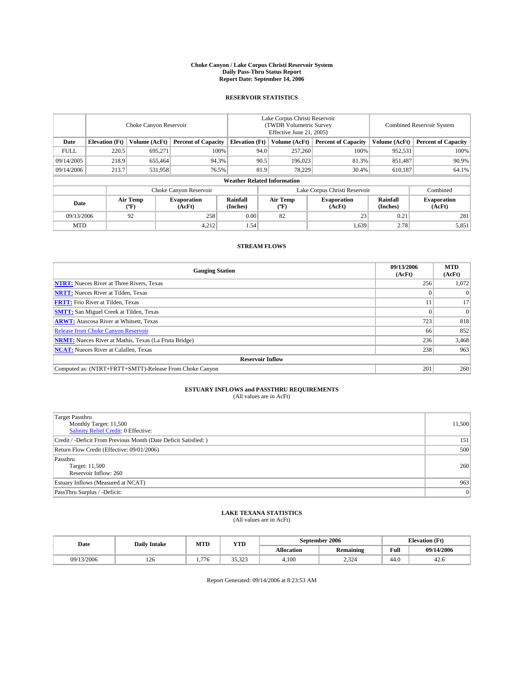#### **Choke Canyon / Lake Corpus Christi Reservoir System Daily Pass-Thru Status Report Report Date: September 14, 2006**

### **RESERVOIR STATISTICS**

|             | Choke Canyon Reservoir             |                  |                              |                             | Lake Corpus Christi Reservoir<br>(TWDB Volumetric Survey<br>Effective June 21, 2005) |                  |                              | <b>Combined Reservoir System</b> |                              |  |
|-------------|------------------------------------|------------------|------------------------------|-----------------------------|--------------------------------------------------------------------------------------|------------------|------------------------------|----------------------------------|------------------------------|--|
| Date        | <b>Elevation</b> (Ft)              | Volume (AcFt)    | <b>Percent of Capacity</b>   | <b>Elevation</b> (Ft)       |                                                                                      | Volume (AcFt)    | <b>Percent of Capacity</b>   | Volume (AcFt)                    | <b>Percent of Capacity</b>   |  |
| <b>FULL</b> | 220.5                              | 695.271          |                              | 100%                        | 94.0                                                                                 | 257,260          | 100%                         | 952,531                          | 100%                         |  |
| 09/14/2005  | 218.9                              | 655,464          | 94.3%                        |                             | 90.5                                                                                 | 196,023          | 81.3%                        | 851,487                          | 90.9%                        |  |
| 09/14/2006  | 213.7                              | 531,958          | 76.5%                        |                             | 81.9                                                                                 | 78.229           | 30.4%                        | 610.187                          | 64.1%                        |  |
|             | <b>Weather Related Information</b> |                  |                              |                             |                                                                                      |                  |                              |                                  |                              |  |
|             |                                    |                  | Choke Canyon Reservoir       |                             | Lake Corpus Christi Reservoir                                                        |                  |                              |                                  | Combined                     |  |
| Date        |                                    | Air Temp<br>(°F) | <b>Evaporation</b><br>(AcFt) | <b>Rainfall</b><br>(Inches) |                                                                                      | Air Temp<br>("F) | <b>Evaporation</b><br>(AcFt) | Rainfall<br>(Inches)             | <b>Evaporation</b><br>(AcFt) |  |
| 09/13/2006  |                                    | 92               | 258                          | 0.00                        |                                                                                      | 82               | 23                           | 0.21                             | 281                          |  |
| <b>MTD</b>  |                                    |                  | 4,212                        | 1.54                        |                                                                                      |                  | 1,639                        | 2.78                             | 5,851                        |  |

## **STREAM FLOWS**

| <b>Gauging Station</b>                                       | 09/13/2006<br>(AcFt) | <b>MTD</b><br>(AcFt) |
|--------------------------------------------------------------|----------------------|----------------------|
| <b>NTRT:</b> Nueces River at Three Rivers, Texas             | 256                  | 1,072                |
| <b>NRTT:</b> Nueces River at Tilden, Texas                   |                      | $\Omega$             |
| <b>FRTT:</b> Frio River at Tilden, Texas                     |                      | 17                   |
| <b>SMTT:</b> San Miguel Creek at Tilden, Texas               |                      | $\Omega$             |
| <b>ARWT:</b> Atascosa River at Whitsett, Texas               | 723                  | 818                  |
| <b>Release from Choke Canyon Reservoir</b>                   | 66                   | 852                  |
| <b>NRMT:</b> Nueces River at Mathis, Texas (La Fruta Bridge) | 236                  | 3,468                |
| <b>NCAT:</b> Nueces River at Calallen, Texas                 | 238                  | 963                  |
| <b>Reservoir Inflow</b>                                      |                      |                      |
| Computed as: (NTRT+FRTT+SMTT)-Release From Choke Canyon      | 201                  | 260                  |

# **ESTUARY INFLOWS and PASSTHRU REQUIREMENTS**<br>(All values are in AcFt)

| <b>Target Passthru</b><br>Monthly Target: 11,500<br>Salinity Relief Credit: 0 Effective: | 11,500 |
|------------------------------------------------------------------------------------------|--------|
| Credit / -Deficit From Previous Month (Date Deficit Satisfied: )                         | 151    |
| Return Flow Credit (Effective: 09/01/2006)                                               | 500    |
| Passthru<br>Target: 11,500<br>Reservoir Inflow: 260                                      | 260    |
| Estuary Inflows (Measured at NCAT)                                                       | 963    |
| PassThru Surplus / -Deficit:                                                             | 0      |

#### **LAKE TEXANA STATISTICS** (All values are in AcFt)

| Date       | <b>Daily Intake</b> | MTD  | <b>YTD</b>              |            | September 2006   | <b>Elevation</b> (Ft) |            |
|------------|---------------------|------|-------------------------|------------|------------------|-----------------------|------------|
|            |                     |      |                         | Allocation | <b>Remaining</b> | Full                  | 09/14/2006 |
| 09/13/2006 | 14 U                | .776 | 25.22<br>JJ.J <i>LJ</i> | 4.100      | 234<br>-ئ قسط    | 44.0                  | 42.0       |

Report Generated: 09/14/2006 at 8:23:53 AM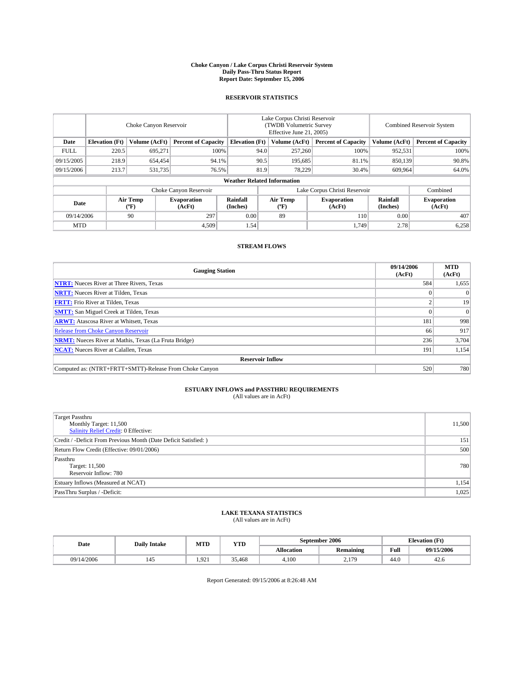#### **Choke Canyon / Lake Corpus Christi Reservoir System Daily Pass-Thru Status Report Report Date: September 15, 2006**

### **RESERVOIR STATISTICS**

|             | Choke Canyon Reservoir             |                  |                              |                             | Lake Corpus Christi Reservoir<br>(TWDB Volumetric Survey<br>Effective June 21, 2005) |                  |                               | <b>Combined Reservoir System</b> |                              |  |
|-------------|------------------------------------|------------------|------------------------------|-----------------------------|--------------------------------------------------------------------------------------|------------------|-------------------------------|----------------------------------|------------------------------|--|
| Date        | <b>Elevation</b> (Ft)              | Volume (AcFt)    | <b>Percent of Capacity</b>   | <b>Elevation</b> (Ft)       |                                                                                      | Volume (AcFt)    | <b>Percent of Capacity</b>    | Volume (AcFt)                    | <b>Percent of Capacity</b>   |  |
| <b>FULL</b> | 220.5                              | 695.271          | 100%                         |                             | 94.0                                                                                 | 257,260          | 100%                          | 952,531                          | 100%                         |  |
| 09/15/2005  | 218.9                              | 654,454          | 94.1%                        |                             | 90.5                                                                                 | 195.685          | 81.1%                         | 850,139                          | 90.8%                        |  |
| 09/15/2006  | 213.7                              | 531,735          | 76.5%                        |                             | 81.9                                                                                 | 78.229           | 30.4%                         | 609.964                          | 64.0%                        |  |
|             | <b>Weather Related Information</b> |                  |                              |                             |                                                                                      |                  |                               |                                  |                              |  |
|             |                                    |                  | Choke Canyon Reservoir       |                             |                                                                                      |                  | Lake Corpus Christi Reservoir |                                  | Combined                     |  |
| Date        |                                    | Air Temp<br>(°F) | <b>Evaporation</b><br>(AcFt) | <b>Rainfall</b><br>(Inches) |                                                                                      | Air Temp<br>("F) | <b>Evaporation</b><br>(AcFt)  | Rainfall<br>(Inches)             | <b>Evaporation</b><br>(AcFt) |  |
| 09/14/2006  |                                    | 90               | 297                          | 0.00                        |                                                                                      | 89               | 110                           | 0.00                             | 407                          |  |
| <b>MTD</b>  |                                    |                  | 4,509                        | 1.54                        |                                                                                      |                  | 1,749                         | 2.78                             | 6,258                        |  |

### **STREAM FLOWS**

| <b>Gauging Station</b>                                       | 09/14/2006<br>(AcFt) | <b>MTD</b><br>(AcFt) |
|--------------------------------------------------------------|----------------------|----------------------|
| <b>NTRT:</b> Nueces River at Three Rivers, Texas             | 584                  | 1,655                |
| <b>NRTT:</b> Nueces River at Tilden, Texas                   |                      | $\Omega$             |
| <b>FRTT:</b> Frio River at Tilden, Texas                     |                      | 19                   |
| <b>SMTT:</b> San Miguel Creek at Tilden, Texas               |                      | $\overline{0}$       |
| <b>ARWT:</b> Atascosa River at Whitsett, Texas               | 181                  | 998                  |
| <b>Release from Choke Canyon Reservoir</b>                   | 66                   | 917                  |
| <b>NRMT:</b> Nueces River at Mathis, Texas (La Fruta Bridge) | 236                  | 3,704                |
| <b>NCAT:</b> Nueces River at Calallen, Texas                 | 191                  | 1,154                |
| <b>Reservoir Inflow</b>                                      |                      |                      |
| Computed as: (NTRT+FRTT+SMTT)-Release From Choke Canyon      | 520                  | 780                  |

# **ESTUARY INFLOWS and PASSTHRU REQUIREMENTS**<br>(All values are in AcFt)

| <b>Target Passthru</b><br>Monthly Target: 11,500<br>Salinity Relief Credit: 0 Effective: | 11,500 |
|------------------------------------------------------------------------------------------|--------|
| Credit / -Deficit From Previous Month (Date Deficit Satisfied: )                         | 151    |
| Return Flow Credit (Effective: 09/01/2006)                                               | 500    |
| Passthru<br>Target: 11,500<br>Reservoir Inflow: 780                                      | 780    |
| Estuary Inflows (Measured at NCAT)                                                       | 1,154  |
| PassThru Surplus / -Deficit:                                                             | 1,025  |

#### **LAKE TEXANA STATISTICS** (All values are in AcFt)

| Date       | <b>Daily Intake</b> | MTD                   | <b>YTD</b> |            | September 2006   | <b>Elevation</b> (Ft) |            |
|------------|---------------------|-----------------------|------------|------------|------------------|-----------------------|------------|
|            |                     |                       |            | Allocation | <b>Remaining</b> | Full                  | 09/15/2006 |
| 09/14/2006 |                     | $Q^{\prime}$<br>1.721 | 35.468     | 4.100      | 170<br>$\sim$    | 44.0                  | 42.0       |

Report Generated: 09/15/2006 at 8:26:48 AM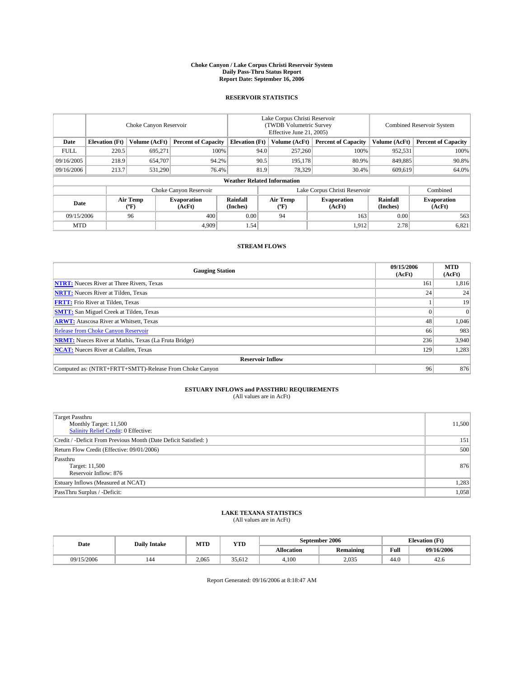#### **Choke Canyon / Lake Corpus Christi Reservoir System Daily Pass-Thru Status Report Report Date: September 16, 2006**

### **RESERVOIR STATISTICS**

|             | Choke Canyon Reservoir             |                  |                              |                             | Lake Corpus Christi Reservoir<br>(TWDB Volumetric Survey<br>Effective June 21, 2005) |                              |                               | <b>Combined Reservoir System</b> |                              |  |
|-------------|------------------------------------|------------------|------------------------------|-----------------------------|--------------------------------------------------------------------------------------|------------------------------|-------------------------------|----------------------------------|------------------------------|--|
| Date        | <b>Elevation</b> (Ft)              | Volume (AcFt)    | <b>Percent of Capacity</b>   | <b>Elevation</b> (Ft)       |                                                                                      | Volume (AcFt)                | <b>Percent of Capacity</b>    | Volume (AcFt)                    | <b>Percent of Capacity</b>   |  |
| <b>FULL</b> | 220.5                              | 695.271          |                              | 100%                        | 94.0                                                                                 | 257,260                      | 100%                          | 952,531                          | 100%                         |  |
| 09/16/2005  | 218.9                              | 654,707          | 94.2%                        |                             | 90.5                                                                                 | 195.178                      | 80.9%                         | 849,885                          | 90.8%                        |  |
| 09/16/2006  | 213.7                              | 531.290          | 76.4%                        |                             | 81.9                                                                                 | 78,329                       | 30.4%                         | 609.619                          | 64.0%                        |  |
|             | <b>Weather Related Information</b> |                  |                              |                             |                                                                                      |                              |                               |                                  |                              |  |
|             |                                    |                  | Choke Canyon Reservoir       |                             |                                                                                      |                              | Lake Corpus Christi Reservoir |                                  | Combined                     |  |
| Date        |                                    | Air Temp<br>(°F) | <b>Evaporation</b><br>(AcFt) | <b>Rainfall</b><br>(Inches) |                                                                                      | Air Temp<br>$(^{o}\text{F})$ | <b>Evaporation</b><br>(AcFt)  | Rainfall<br>(Inches)             | <b>Evaporation</b><br>(AcFt) |  |
| 09/15/2006  |                                    | 96               | 400                          | 0.00                        |                                                                                      | 94                           | 163                           | 0.00                             | 563                          |  |
| <b>MTD</b>  |                                    |                  | 4.909                        | 1.54                        |                                                                                      |                              | 1,912                         | 2.78                             | 6,821                        |  |

## **STREAM FLOWS**

| <b>Gauging Station</b>                                       | 09/15/2006<br>(AcFt) | <b>MTD</b><br>(AcFt) |
|--------------------------------------------------------------|----------------------|----------------------|
| <b>NTRT:</b> Nueces River at Three Rivers, Texas             | 161                  | 1,816                |
| <b>NRTT:</b> Nueces River at Tilden, Texas                   | 24                   | 24                   |
| <b>FRTT:</b> Frio River at Tilden, Texas                     |                      | 19                   |
| <b>SMTT:</b> San Miguel Creek at Tilden, Texas               |                      | $\overline{0}$       |
| <b>ARWT:</b> Atascosa River at Whitsett, Texas               | 48                   | 1,046                |
| <b>Release from Choke Canyon Reservoir</b>                   | 66                   | 983                  |
| <b>NRMT:</b> Nueces River at Mathis, Texas (La Fruta Bridge) | 236                  | 3,940                |
| <b>NCAT:</b> Nueces River at Calallen, Texas                 | 129                  | 1,283                |
| <b>Reservoir Inflow</b>                                      |                      |                      |
| Computed as: (NTRT+FRTT+SMTT)-Release From Choke Canyon      | 96                   | 876                  |

# **ESTUARY INFLOWS and PASSTHRU REQUIREMENTS**<br>(All values are in AcFt)

| <b>Target Passthru</b><br>Monthly Target: 11,500<br>Salinity Relief Credit: 0 Effective: | 11,500 |
|------------------------------------------------------------------------------------------|--------|
| Credit / -Deficit From Previous Month (Date Deficit Satisfied: )                         | 151    |
| Return Flow Credit (Effective: 09/01/2006)                                               | 500    |
| Passthru<br>Target: 11,500<br>Reservoir Inflow: 876                                      | 876    |
| Estuary Inflows (Measured at NCAT)                                                       | 1,283  |
| PassThru Surplus / -Deficit:                                                             | 1,058  |

#### **LAKE TEXANA STATISTICS** (All values are in AcFt)

| Date       | <b>Daily Intake</b> | MTD   | YTD    |            | September 2006   | <b>Elevation</b> (Ft)                   |            |
|------------|---------------------|-------|--------|------------|------------------|-----------------------------------------|------------|
|            |                     |       |        | Allocation | <b>Remaining</b> | Full<br>the contract of the contract of | 09/16/2006 |
| 09/15/2006 |                     | 2.065 | 35.612 | 4.100      | 2.035            | 44.0                                    | 44.U       |

Report Generated: 09/16/2006 at 8:18:47 AM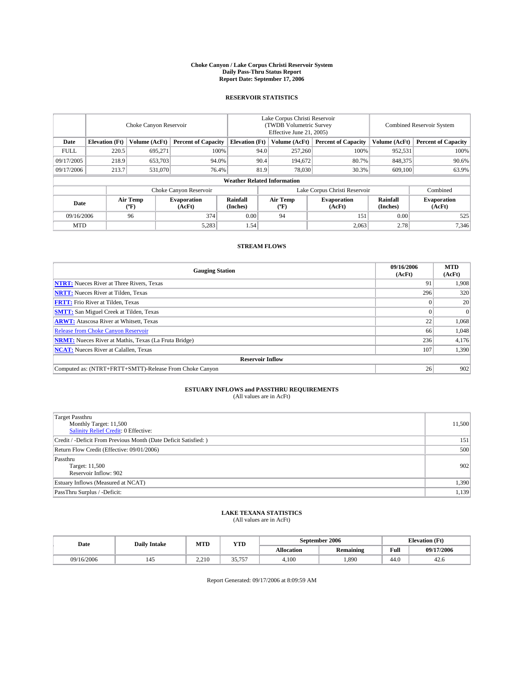#### **Choke Canyon / Lake Corpus Christi Reservoir System Daily Pass-Thru Status Report Report Date: September 17, 2006**

### **RESERVOIR STATISTICS**

|             | Choke Canyon Reservoir             |                  |                              |                             | Lake Corpus Christi Reservoir<br>(TWDB Volumetric Survey<br>Effective June 21, 2005) |                  |                               | <b>Combined Reservoir System</b> |                              |  |
|-------------|------------------------------------|------------------|------------------------------|-----------------------------|--------------------------------------------------------------------------------------|------------------|-------------------------------|----------------------------------|------------------------------|--|
| Date        | <b>Elevation</b> (Ft)              | Volume (AcFt)    | <b>Percent of Capacity</b>   | <b>Elevation</b> (Ft)       |                                                                                      | Volume (AcFt)    | <b>Percent of Capacity</b>    | Volume (AcFt)                    | <b>Percent of Capacity</b>   |  |
| <b>FULL</b> | 220.5                              | 695.271          |                              | 100%                        | 94.0                                                                                 | 257,260          | 100%                          | 952,531                          | 100%                         |  |
| 09/17/2005  | 218.9                              | 653,703          |                              | 94.0%                       | 90.4                                                                                 | 194,672          | 80.7%                         | 848,375                          | 90.6%                        |  |
| 09/17/2006  | 213.7                              | 531,070          |                              | 76.4%                       | 81.9                                                                                 | 78,030           | 30.3%                         | 609,100                          | 63.9%                        |  |
|             | <b>Weather Related Information</b> |                  |                              |                             |                                                                                      |                  |                               |                                  |                              |  |
|             |                                    |                  | Choke Canyon Reservoir       |                             |                                                                                      |                  | Lake Corpus Christi Reservoir |                                  | Combined                     |  |
| Date        |                                    | Air Temp<br>(°F) | <b>Evaporation</b><br>(AcFt) | <b>Rainfall</b><br>(Inches) |                                                                                      | Air Temp<br>("F) | <b>Evaporation</b><br>(AcFt)  | Rainfall<br>(Inches)             | <b>Evaporation</b><br>(AcFt) |  |
| 09/16/2006  |                                    | 96               | 374                          | 0.00                        |                                                                                      | 94               | 151                           | 0.00                             | 525                          |  |
| <b>MTD</b>  |                                    |                  | 5,283                        | 1.54                        |                                                                                      |                  | 2,063                         | 2.78                             | 7,346                        |  |

## **STREAM FLOWS**

| <b>Gauging Station</b>                                       | 09/16/2006<br>(AcFt) | <b>MTD</b><br>(AcFt) |
|--------------------------------------------------------------|----------------------|----------------------|
| <b>NTRT:</b> Nueces River at Three Rivers, Texas             | 91                   | 1,908                |
| <b>NRTT:</b> Nueces River at Tilden, Texas                   | 296                  | 320                  |
| <b>FRTT:</b> Frio River at Tilden, Texas                     |                      | 20                   |
| <b>SMTT:</b> San Miguel Creek at Tilden, Texas               |                      | $\Omega$             |
| <b>ARWT:</b> Atascosa River at Whitsett, Texas               | 22                   | 1,068                |
| <b>Release from Choke Canyon Reservoir</b>                   | 66                   | 1,048                |
| <b>NRMT:</b> Nueces River at Mathis, Texas (La Fruta Bridge) | 236                  | 4,176                |
| <b>NCAT:</b> Nueces River at Calallen, Texas                 | 107                  | 1,390                |
| <b>Reservoir Inflow</b>                                      |                      |                      |
| Computed as: (NTRT+FRTT+SMTT)-Release From Choke Canyon      | 26 <sup>1</sup>      | 902                  |

# **ESTUARY INFLOWS and PASSTHRU REQUIREMENTS**<br>(All values are in AcFt)

| Target Passthru<br>Monthly Target: 11,500<br>Salinity Relief Credit: 0 Effective: | 11,500 |
|-----------------------------------------------------------------------------------|--------|
| Credit / -Deficit From Previous Month (Date Deficit Satisfied: )                  | 151    |
| Return Flow Credit (Effective: 09/01/2006)                                        | 500    |
| Passthru<br>Target: 11,500<br>Reservoir Inflow: 902                               | 902    |
| Estuary Inflows (Measured at NCAT)                                                | 1,390  |
| PassThru Surplus / -Deficit:                                                      | 1,139  |

#### **LAKE TEXANA STATISTICS** (All values are in AcFt)

|  | Date       | <b>Daily Intake</b> | MTT<br>IVI I L | <b>YTD</b>       |                   | September 2006   | <b>Elevation (Ft)</b> |            |
|--|------------|---------------------|----------------|------------------|-------------------|------------------|-----------------------|------------|
|  |            |                     |                |                  | <b>Allocation</b> | <b>Remaining</b> | Full                  | 09/17/2006 |
|  | 09/16/2006 |                     | 2.210          | 25.75<br><i></i> | 4.100             | 1.890            | 44.0                  | 42.0       |

Report Generated: 09/17/2006 at 8:09:59 AM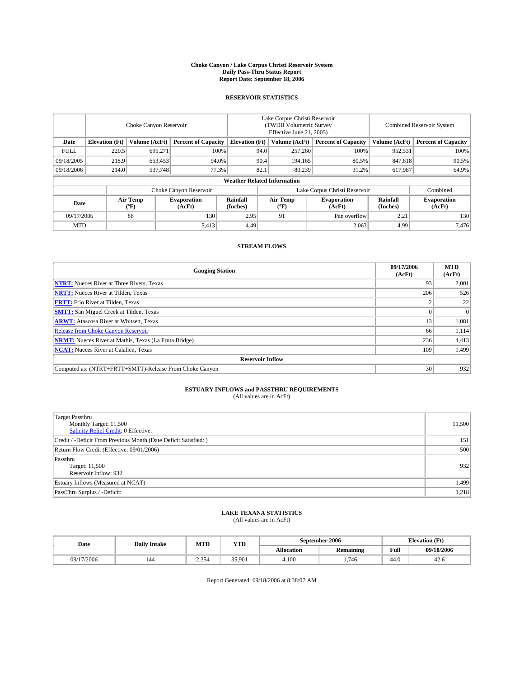#### **Choke Canyon / Lake Corpus Christi Reservoir System Daily Pass-Thru Status Report Report Date: September 18, 2006**

### **RESERVOIR STATISTICS**

|             | Choke Canyon Reservoir             |                  |                              |                       | Lake Corpus Christi Reservoir<br>(TWDB Volumetric Survey<br>Effective June 21, 2005) |                         |                               | <b>Combined Reservoir System</b> |                              |  |
|-------------|------------------------------------|------------------|------------------------------|-----------------------|--------------------------------------------------------------------------------------|-------------------------|-------------------------------|----------------------------------|------------------------------|--|
| Date        | <b>Elevation</b> (Ft)              | Volume (AcFt)    | <b>Percent of Capacity</b>   | <b>Elevation</b> (Ft) |                                                                                      | Volume (AcFt)           | <b>Percent of Capacity</b>    | Volume (AcFt)                    | <b>Percent of Capacity</b>   |  |
| <b>FULL</b> | 220.5                              | 695.271          | 100%                         |                       | 94.0                                                                                 | 257,260                 | 100%                          | 952,531                          | 100%                         |  |
| 09/18/2005  | 218.9                              | 653,453          | 94.0%                        |                       | 90.4                                                                                 | 194.165                 | 80.5%                         | 847.618                          | 90.5%                        |  |
| 09/18/2006  | 214.0                              | 537,748          | 77.3%                        |                       | 82.1                                                                                 | 80,239                  | 31.2%                         | 617,987                          | 64.9%                        |  |
|             | <b>Weather Related Information</b> |                  |                              |                       |                                                                                      |                         |                               |                                  |                              |  |
|             |                                    |                  | Choke Canyon Reservoir       |                       |                                                                                      |                         | Lake Corpus Christi Reservoir |                                  | Combined                     |  |
| Date        |                                    | Air Temp<br>("F) | <b>Evaporation</b><br>(AcFt) | Rainfall<br>(Inches)  |                                                                                      | <b>Air Temp</b><br>("F) | <b>Evaporation</b><br>(AcFt)  | Rainfall<br>(Inches)             | <b>Evaporation</b><br>(AcFt) |  |
| 09/17/2006  |                                    | 88               | 130                          | 2.95                  |                                                                                      | 91                      | Pan overflow                  | 2.21                             | 130                          |  |
| <b>MTD</b>  |                                    |                  | 5,413                        | 4.49                  |                                                                                      |                         | 2,063                         | 4.99                             | 7,476                        |  |

### **STREAM FLOWS**

| <b>Gauging Station</b>                                       | 09/17/2006<br>(AcFt) | <b>MTD</b><br>(AcFt) |
|--------------------------------------------------------------|----------------------|----------------------|
| <b>NTRT:</b> Nueces River at Three Rivers, Texas             | 93                   | 2,001                |
| <b>NRTT:</b> Nueces River at Tilden, Texas                   | 206                  | 526                  |
| <b>FRTT:</b> Frio River at Tilden, Texas                     |                      | 22                   |
| <b>SMTT:</b> San Miguel Creek at Tilden, Texas               |                      | $\Omega$             |
| <b>ARWT:</b> Atascosa River at Whitsett, Texas               | 13                   | 1,081                |
| <b>Release from Choke Canyon Reservoir</b>                   | 66                   | 1,114                |
| <b>NRMT:</b> Nueces River at Mathis, Texas (La Fruta Bridge) | 236                  | 4,413                |
| <b>NCAT:</b> Nueces River at Calallen, Texas                 | 109                  | 1,499                |
| <b>Reservoir Inflow</b>                                      |                      |                      |
| Computed as: (NTRT+FRTT+SMTT)-Release From Choke Canyon      | 30                   | 932                  |

# **ESTUARY INFLOWS and PASSTHRU REQUIREMENTS**<br>(All values are in AcFt)

| <b>Target Passthru</b><br>Monthly Target: 11,500<br>Salinity Relief Credit: 0 Effective: | 11,500 |
|------------------------------------------------------------------------------------------|--------|
| Credit / -Deficit From Previous Month (Date Deficit Satisfied: )                         | 151    |
| Return Flow Credit (Effective: 09/01/2006)                                               | 500    |
| Passthru<br>Target: 11,500<br>Reservoir Inflow: 932                                      | 932    |
| Estuary Inflows (Measured at NCAT)                                                       | 1,499  |
| PassThru Surplus / -Deficit:                                                             | 1,218  |

#### **LAKE TEXANA STATISTICS** (All values are in AcFt)

| Date       | <b>Daily Intake</b> | MTD              | <b>YTD</b> |            | September 2006   | <b>Elevation</b> (Ft) |            |
|------------|---------------------|------------------|------------|------------|------------------|-----------------------|------------|
|            |                     |                  |            | Allocation | <b>Remaining</b> | Full                  | 09/18/2006 |
| 09/17/2006 | 144                 | 2.354<br>بر د. ک | 35.901     | 4.100      | 1.746            | 44.0                  | 42.0       |

Report Generated: 09/18/2006 at 8:38:07 AM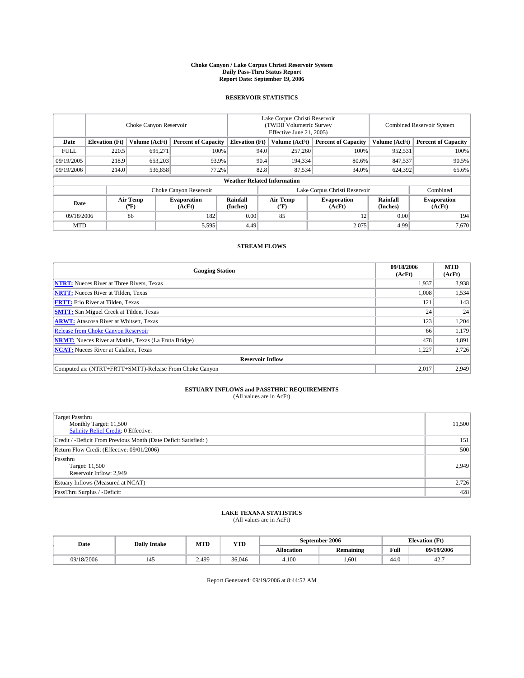#### **Choke Canyon / Lake Corpus Christi Reservoir System Daily Pass-Thru Status Report Report Date: September 19, 2006**

### **RESERVOIR STATISTICS**

|             | Choke Canyon Reservoir |                         |                              |                                    | Lake Corpus Christi Reservoir<br>(TWDB Volumetric Survey<br>Effective June 21, 2005) |                  |                               | Combined Reservoir System |                              |  |
|-------------|------------------------|-------------------------|------------------------------|------------------------------------|--------------------------------------------------------------------------------------|------------------|-------------------------------|---------------------------|------------------------------|--|
| Date        | <b>Elevation</b> (Ft)  | Volume (AcFt)           | <b>Percent of Capacity</b>   | <b>Elevation</b> (Ft)              |                                                                                      | Volume (AcFt)    | <b>Percent of Capacity</b>    | Volume (AcFt)             | <b>Percent of Capacity</b>   |  |
| <b>FULL</b> | 220.5                  | 695.271                 |                              | 100%                               | 94.0                                                                                 | 257,260          | 100%                          | 952,531                   | 100%                         |  |
| 09/19/2005  | 218.9                  | 653,203                 | 93.9%                        |                                    | 90.4                                                                                 | 194,334          | 80.6%                         | 847,537                   | 90.5%                        |  |
| 09/19/2006  | 214.0                  | 536,858                 | 77.2%                        |                                    | 82.8                                                                                 | 87.534           | 34.0%                         | 624,392                   | 65.6%                        |  |
|             |                        |                         |                              | <b>Weather Related Information</b> |                                                                                      |                  |                               |                           |                              |  |
|             |                        |                         | Choke Canyon Reservoir       |                                    |                                                                                      |                  | Lake Corpus Christi Reservoir |                           | Combined                     |  |
| Date        |                        | <b>Air Temp</b><br>(°F) | <b>Evaporation</b><br>(AcFt) | Rainfall<br>(Inches)               |                                                                                      | Air Temp<br>("F) | <b>Evaporation</b><br>(AcFt)  | Rainfall<br>(Inches)      | <b>Evaporation</b><br>(AcFt) |  |
| 09/18/2006  |                        | 86                      | 182                          | 0.00                               |                                                                                      | 85               | 12                            | 0.00                      | 194                          |  |
| <b>MTD</b>  |                        |                         | 5,595                        | 4.49                               |                                                                                      |                  | 2,075                         | 4.99                      | 7,670                        |  |

## **STREAM FLOWS**

| <b>Gauging Station</b>                                       | 09/18/2006<br>(AcFt) | <b>MTD</b><br>(AcFt) |
|--------------------------------------------------------------|----------------------|----------------------|
| <b>NTRT:</b> Nueces River at Three Rivers, Texas             | 1,937                | 3,938                |
| <b>NRTT:</b> Nueces River at Tilden, Texas                   | 1,008                | 1,534                |
| <b>FRTT:</b> Frio River at Tilden, Texas                     | 121                  | 143                  |
| <b>SMTT:</b> San Miguel Creek at Tilden, Texas               | 24                   | 24                   |
| <b>ARWT:</b> Atascosa River at Whitsett, Texas               | 123                  | 1,204                |
| <b>Release from Choke Canyon Reservoir</b>                   | 66                   | 1,179                |
| <b>NRMT:</b> Nueces River at Mathis, Texas (La Fruta Bridge) | 478                  | 4,891                |
| <b>NCAT:</b> Nueces River at Calallen, Texas                 | 1,227                | 2,726                |
| <b>Reservoir Inflow</b>                                      |                      |                      |
| Computed as: (NTRT+FRTT+SMTT)-Release From Choke Canyon      | 2,017                | 2,949                |

# **ESTUARY INFLOWS and PASSTHRU REQUIREMENTS**<br>(All values are in AcFt)

| <b>Target Passthru</b><br>Monthly Target: 11,500<br>Salinity Relief Credit: 0 Effective: | 11,500 |
|------------------------------------------------------------------------------------------|--------|
| Credit / -Deficit From Previous Month (Date Deficit Satisfied: )                         | 151    |
| Return Flow Credit (Effective: 09/01/2006)                                               | 500    |
| Passthru<br>Target: 11,500<br>Reservoir Inflow: 2,949                                    | 2,949  |
| Estuary Inflows (Measured at NCAT)                                                       | 2,726  |
| PassThru Surplus / -Deficit:                                                             | 428    |

#### **LAKE TEXANA STATISTICS** (All values are in AcFt)

|  | Date       | <b>Daily Intake</b> | MTT<br>IVI I L | YTD    |                   | September 2006   | <b>Elevation (Ft)</b> |            |
|--|------------|---------------------|----------------|--------|-------------------|------------------|-----------------------|------------|
|  |            |                     |                |        | <b>Allocation</b> | <b>Remaining</b> | Full                  | 09/19/2006 |
|  | 09/18/2006 |                     | 2.499          | 36,046 | 4.100             | 1.601            | 44.0                  | 44.,       |

Report Generated: 09/19/2006 at 8:44:52 AM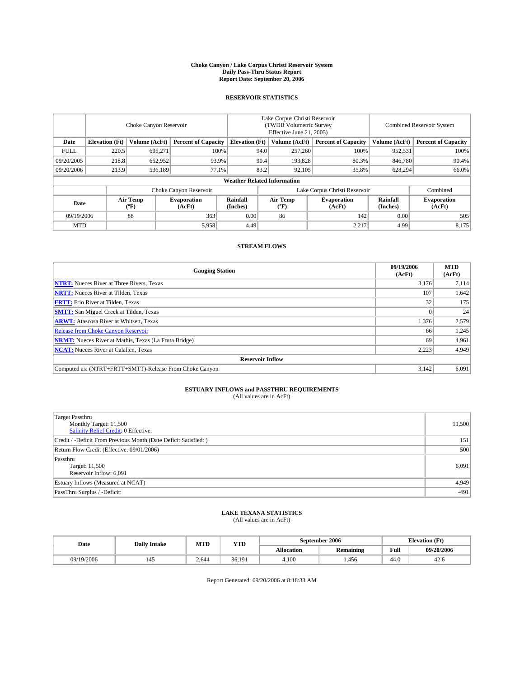#### **Choke Canyon / Lake Corpus Christi Reservoir System Daily Pass-Thru Status Report Report Date: September 20, 2006**

### **RESERVOIR STATISTICS**

|             | Choke Canyon Reservoir             |                  |                              |                             | Lake Corpus Christi Reservoir<br>(TWDB Volumetric Survey<br>Effective June 21, 2005) |                  |                               | <b>Combined Reservoir System</b> |                              |  |  |
|-------------|------------------------------------|------------------|------------------------------|-----------------------------|--------------------------------------------------------------------------------------|------------------|-------------------------------|----------------------------------|------------------------------|--|--|
| Date        | <b>Elevation</b> (Ft)              | Volume (AcFt)    | <b>Percent of Capacity</b>   | <b>Elevation</b> (Ft)       |                                                                                      | Volume (AcFt)    | <b>Percent of Capacity</b>    | Volume (AcFt)                    | <b>Percent of Capacity</b>   |  |  |
| <b>FULL</b> | 220.5                              | 695.271          |                              | 100%                        | 94.0                                                                                 | 257,260          | 100%                          | 952,531                          | 100%                         |  |  |
| 09/20/2005  | 218.8                              | 652,952          | 93.9%                        |                             | 90.4                                                                                 | 193.828          | 80.3%                         | 846,780                          | 90.4%                        |  |  |
| 09/20/2006  | 213.9                              | 536,189          |                              | 77.1%                       | 83.2                                                                                 | 92,105           | 35.8%                         | 628,294                          | 66.0%                        |  |  |
|             | <b>Weather Related Information</b> |                  |                              |                             |                                                                                      |                  |                               |                                  |                              |  |  |
|             |                                    |                  | Choke Canyon Reservoir       |                             |                                                                                      |                  | Lake Corpus Christi Reservoir |                                  | Combined                     |  |  |
| Date        |                                    | Air Temp<br>(°F) | <b>Evaporation</b><br>(AcFt) | <b>Rainfall</b><br>(Inches) |                                                                                      | Air Temp<br>("F) | <b>Evaporation</b><br>(AcFt)  | Rainfall<br>(Inches)             | <b>Evaporation</b><br>(AcFt) |  |  |
| 09/19/2006  |                                    | 88               | 363                          | 0.00                        |                                                                                      | 86               | 142                           | 0.00                             | 505                          |  |  |
| <b>MTD</b>  |                                    |                  | 5,958                        | 4.49                        |                                                                                      |                  | 2,217                         | 4.99                             | 8,175                        |  |  |

## **STREAM FLOWS**

| <b>Gauging Station</b>                                       | 09/19/2006<br>(AcFt) | <b>MTD</b><br>(AcFt) |
|--------------------------------------------------------------|----------------------|----------------------|
| <b>NTRT:</b> Nueces River at Three Rivers, Texas             | 3,176                | 7,114                |
| <b>NRTT:</b> Nueces River at Tilden, Texas                   | 107                  | 1,642                |
| <b>FRTT:</b> Frio River at Tilden, Texas                     | 32                   | 175                  |
| <b>SMTT:</b> San Miguel Creek at Tilden, Texas               |                      | 24                   |
| <b>ARWT:</b> Atascosa River at Whitsett, Texas               | 1,376                | 2,579                |
| <b>Release from Choke Canyon Reservoir</b>                   | 66                   | 1,245                |
| <b>NRMT:</b> Nueces River at Mathis, Texas (La Fruta Bridge) | 69                   | 4,961                |
| <b>NCAT:</b> Nueces River at Calallen, Texas                 | 2,223                | 4,949                |
| <b>Reservoir Inflow</b>                                      |                      |                      |
| Computed as: (NTRT+FRTT+SMTT)-Release From Choke Canyon      | 3,142                | 6,091                |

# **ESTUARY INFLOWS and PASSTHRU REQUIREMENTS**<br>(All values are in AcFt)

| Target Passthru<br>Monthly Target: 11,500<br>Salinity Relief Credit: 0 Effective: | 11,500 |
|-----------------------------------------------------------------------------------|--------|
| Credit / -Deficit From Previous Month (Date Deficit Satisfied: )                  | 151    |
| Return Flow Credit (Effective: 09/01/2006)                                        | 500    |
| Passthru<br>Target: 11,500<br>Reservoir Inflow: 6,091                             | 6,091  |
| Estuary Inflows (Measured at NCAT)                                                | 4,949  |
| PassThru Surplus / -Deficit:                                                      | $-491$ |

#### **LAKE TEXANA STATISTICS** (All values are in AcFt)

|  | Date       | <b>Daily Intake</b> | MTT<br>YTD<br>IVI I L |        |                   | September 2006   | <b>Elevation (Ft)</b> |            |
|--|------------|---------------------|-----------------------|--------|-------------------|------------------|-----------------------|------------|
|  |            |                     |                       |        | <b>Allocation</b> | <b>Remaining</b> | Full                  | 09/20/2006 |
|  | 09/19/2006 |                     | 2.644                 | 36.191 | 4.100             | 1.456            | 44.0                  | 42.0       |

Report Generated: 09/20/2006 at 8:18:33 AM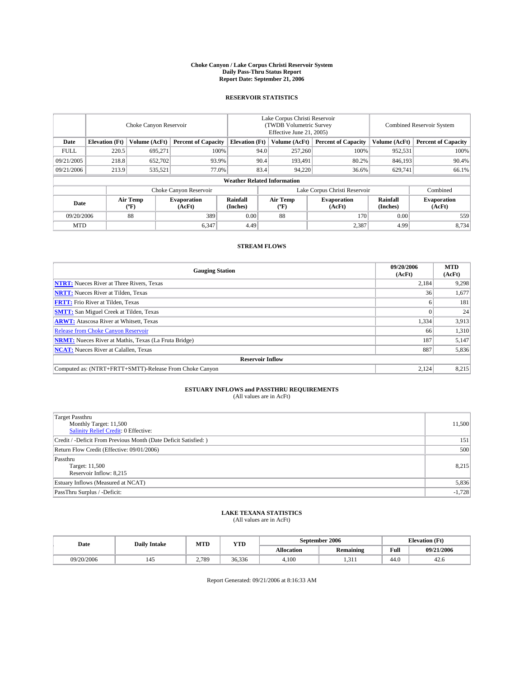#### **Choke Canyon / Lake Corpus Christi Reservoir System Daily Pass-Thru Status Report Report Date: September 21, 2006**

### **RESERVOIR STATISTICS**

|             | Choke Canyon Reservoir |                         |                              |                                    | Lake Corpus Christi Reservoir<br>(TWDB Volumetric Survey<br>Effective June 21, 2005) |                  |                               | Combined Reservoir System |                              |  |
|-------------|------------------------|-------------------------|------------------------------|------------------------------------|--------------------------------------------------------------------------------------|------------------|-------------------------------|---------------------------|------------------------------|--|
| Date        | <b>Elevation</b> (Ft)  | Volume (AcFt)           | <b>Percent of Capacity</b>   | <b>Elevation</b> (Ft)              |                                                                                      | Volume (AcFt)    | <b>Percent of Capacity</b>    | Volume (AcFt)             | <b>Percent of Capacity</b>   |  |
| <b>FULL</b> | 220.5                  | 695.271                 |                              | 100%                               | 94.0                                                                                 | 257,260          | 100%                          | 952,531                   | 100%                         |  |
| 09/21/2005  | 218.8                  | 652,702                 | 93.9%                        |                                    | 90.4                                                                                 | 193.491          | 80.2%                         | 846,193                   | 90.4%                        |  |
| 09/21/2006  | 213.9                  | 535,521                 | 77.0%                        |                                    | 83.4                                                                                 | 94,220           | 36.6%                         | 629,741                   | 66.1%                        |  |
|             |                        |                         |                              | <b>Weather Related Information</b> |                                                                                      |                  |                               |                           |                              |  |
|             |                        |                         | Choke Canyon Reservoir       |                                    |                                                                                      |                  | Lake Corpus Christi Reservoir |                           | Combined                     |  |
| Date        |                        | <b>Air Temp</b><br>(°F) | <b>Evaporation</b><br>(AcFt) | Rainfall<br>(Inches)               |                                                                                      | Air Temp<br>("F) | <b>Evaporation</b><br>(AcFt)  | Rainfall<br>(Inches)      | <b>Evaporation</b><br>(AcFt) |  |
| 09/20/2006  |                        | 88                      | 389                          | 0.00                               |                                                                                      | 88               | 170                           | 0.00                      | 559                          |  |
| <b>MTD</b>  |                        |                         | 6,347                        | 4.49                               |                                                                                      |                  | 2,387                         | 4.99                      | 8,734                        |  |

## **STREAM FLOWS**

| <b>Gauging Station</b>                                       | 09/20/2006<br>(AcFt) | <b>MTD</b><br>(AcFt) |
|--------------------------------------------------------------|----------------------|----------------------|
| <b>NTRT:</b> Nueces River at Three Rivers, Texas             | 2,184                | 9,298                |
| <b>NRTT:</b> Nueces River at Tilden, Texas                   | 36                   | 1,677                |
| <b>FRTT:</b> Frio River at Tilden, Texas                     |                      | 181                  |
| <b>SMTT:</b> San Miguel Creek at Tilden, Texas               |                      | 24                   |
| <b>ARWT:</b> Atascosa River at Whitsett, Texas               | 1,334                | 3,913                |
| <b>Release from Choke Canyon Reservoir</b>                   | 66                   | 1,310                |
| <b>NRMT:</b> Nueces River at Mathis, Texas (La Fruta Bridge) | 187                  | 5,147                |
| <b>NCAT:</b> Nueces River at Calallen, Texas                 | 887                  | 5,836                |
| <b>Reservoir Inflow</b>                                      |                      |                      |
| Computed as: (NTRT+FRTT+SMTT)-Release From Choke Canyon      | 2,124                | 8,215                |

# **ESTUARY INFLOWS and PASSTHRU REQUIREMENTS**<br>(All values are in AcFt)

| <b>Target Passthru</b><br>Monthly Target: 11,500<br>Salinity Relief Credit: 0 Effective: | 11,500   |
|------------------------------------------------------------------------------------------|----------|
| Credit / -Deficit From Previous Month (Date Deficit Satisfied: )                         | 151      |
| Return Flow Credit (Effective: 09/01/2006)                                               | 500      |
| Passthru<br>Target: 11,500<br>Reservoir Inflow: 8,215                                    | 8,215    |
| Estuary Inflows (Measured at NCAT)                                                       | 5,836    |
| PassThru Surplus / -Deficit:                                                             | $-1,728$ |

#### **LAKE TEXANA STATISTICS** (All values are in AcFt)

| Date       | MTT<br><b>YTD</b><br><b>Daily Intake</b><br>IVI I L |        | September 2006    |                  |      | <b>Elevation (Ft)</b> |
|------------|-----------------------------------------------------|--------|-------------------|------------------|------|-----------------------|
|            |                                                     |        | <b>Allocation</b> | <b>Remaining</b> | Full | 09/21/2006            |
| 09/20/2006 | 2.789                                               | 36.336 | 4.100             | 1.J 11           | 44.0 | 42.0                  |

Report Generated: 09/21/2006 at 8:16:33 AM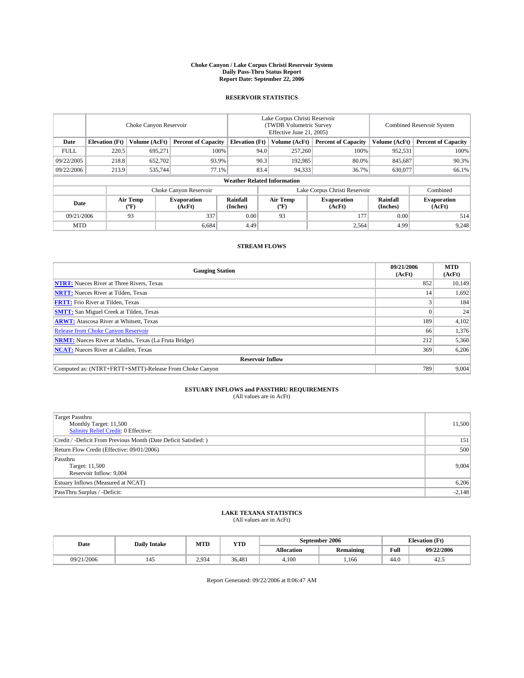#### **Choke Canyon / Lake Corpus Christi Reservoir System Daily Pass-Thru Status Report Report Date: September 22, 2006**

### **RESERVOIR STATISTICS**

|                                                                              | Choke Canyon Reservoir |                       |                              |                                    | Lake Corpus Christi Reservoir<br>(TWDB Volumetric Survey<br>Effective June 21, 2005) |                  |                               |                      | Combined Reservoir System    |  |  |
|------------------------------------------------------------------------------|------------------------|-----------------------|------------------------------|------------------------------------|--------------------------------------------------------------------------------------|------------------|-------------------------------|----------------------|------------------------------|--|--|
| Date<br><b>Elevation</b> (Ft)<br>Volume (AcFt)<br><b>Percent of Capacity</b> |                        | <b>Elevation</b> (Ft) |                              | Volume (AcFt)                      | <b>Percent of Capacity</b>                                                           | Volume (AcFt)    | <b>Percent of Capacity</b>    |                      |                              |  |  |
| <b>FULL</b>                                                                  | 220.5                  | 695.271               |                              | 100%                               | 94.0                                                                                 | 257,260          | 100%                          | 952,531              | 100%                         |  |  |
| 09/22/2005                                                                   | 218.8                  | 652,702               | 93.9%                        |                                    | 90.3                                                                                 | 192,985          | 80.0%                         | 845,687              | 90.3%                        |  |  |
| 09/22/2006                                                                   | 213.9                  | 535,744               | 77.1%                        |                                    | 83.4                                                                                 | 94,333           | 36.7%                         | 630,077              | 66.1%                        |  |  |
|                                                                              |                        |                       |                              | <b>Weather Related Information</b> |                                                                                      |                  |                               |                      |                              |  |  |
|                                                                              |                        |                       | Choke Canyon Reservoir       |                                    |                                                                                      |                  | Lake Corpus Christi Reservoir |                      | Combined                     |  |  |
| Date                                                                         |                        | Air Temp<br>(°F)      | <b>Evaporation</b><br>(AcFt) | Rainfall<br>(Inches)               |                                                                                      | Air Temp<br>("F) | <b>Evaporation</b><br>(AcFt)  | Rainfall<br>(Inches) | <b>Evaporation</b><br>(AcFt) |  |  |
| 09/21/2006                                                                   |                        | 93                    | 337                          | 0.00                               |                                                                                      | 93               | 177                           | 0.00                 | 514                          |  |  |
| <b>MTD</b>                                                                   |                        |                       | 6,684                        | 4.49                               |                                                                                      |                  | 2,564                         | 4.99                 | 9,248                        |  |  |

## **STREAM FLOWS**

| <b>Gauging Station</b>                                       | 09/21/2006<br>(AcFt) | <b>MTD</b><br>(AcFt) |
|--------------------------------------------------------------|----------------------|----------------------|
| <b>NTRT:</b> Nueces River at Three Rivers, Texas             | 852                  | 10,149               |
| <b>NRTT:</b> Nueces River at Tilden, Texas                   | 14                   | 1,692                |
| <b>FRTT:</b> Frio River at Tilden, Texas                     |                      | 184                  |
| <b>SMTT:</b> San Miguel Creek at Tilden, Texas               |                      | 24                   |
| <b>ARWT:</b> Atascosa River at Whitsett, Texas               | 189                  | 4,102                |
| <b>Release from Choke Canyon Reservoir</b>                   | 66                   | 1,376                |
| <b>NRMT:</b> Nueces River at Mathis, Texas (La Fruta Bridge) | 212                  | 5,360                |
| <b>NCAT:</b> Nueces River at Calallen, Texas                 | 369                  | 6,206                |
| <b>Reservoir Inflow</b>                                      |                      |                      |
| Computed as: (NTRT+FRTT+SMTT)-Release From Choke Canyon      | 789                  | 9,004                |

# **ESTUARY INFLOWS and PASSTHRU REQUIREMENTS**<br>(All values are in AcFt)

| Target Passthru<br>Monthly Target: 11,500<br>Salinity Relief Credit: 0 Effective: | 11,500   |
|-----------------------------------------------------------------------------------|----------|
| Credit / -Deficit From Previous Month (Date Deficit Satisfied: )                  | 151      |
| Return Flow Credit (Effective: 09/01/2006)                                        | 500      |
| Passthru<br>Target: 11,500<br>Reservoir Inflow: 9,004                             | 9,004    |
| Estuary Inflows (Measured at NCAT)                                                | 6,206    |
| PassThru Surplus / -Deficit:                                                      | $-2,148$ |

#### **LAKE TEXANA STATISTICS** (All values are in AcFt)

| Date       | <b>Daily Intake</b> | MTT<br>IVI I L | <b>YTD</b> |            | September 2006   |      | <b>Elevation (Ft)</b> |
|------------|---------------------|----------------|------------|------------|------------------|------|-----------------------|
|            |                     |                |            | Allocation | <b>Remaining</b> | Full | 09/22/2006            |
| 09/21/2006 |                     | 2.934          | 36.481     | 4.100      | - -<br>1.166     | 44.0 | 42.3                  |

Report Generated: 09/22/2006 at 8:06:47 AM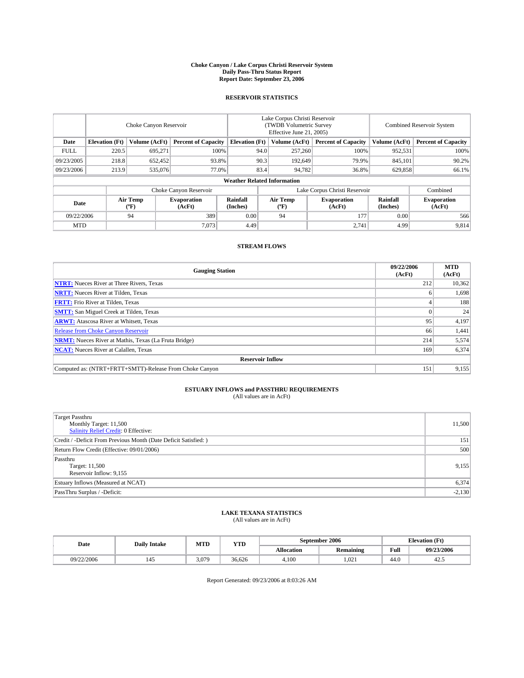#### **Choke Canyon / Lake Corpus Christi Reservoir System Daily Pass-Thru Status Report Report Date: September 23, 2006**

### **RESERVOIR STATISTICS**

|                                                                              | Choke Canyon Reservoir             |                       |                              |                      | Lake Corpus Christi Reservoir<br>(TWDB Volumetric Survey<br>Effective June 21, 2005) |                              |                               |                      | Combined Reservoir System    |  |  |
|------------------------------------------------------------------------------|------------------------------------|-----------------------|------------------------------|----------------------|--------------------------------------------------------------------------------------|------------------------------|-------------------------------|----------------------|------------------------------|--|--|
| <b>Elevation</b> (Ft)<br>Volume (AcFt)<br><b>Percent of Capacity</b><br>Date |                                    | <b>Elevation</b> (Ft) |                              | Volume (AcFt)        | <b>Percent of Capacity</b>                                                           | Volume (AcFt)                | <b>Percent of Capacity</b>    |                      |                              |  |  |
| <b>FULL</b>                                                                  | 220.5                              | 695.271               | 100%                         |                      | 94.0                                                                                 | 257,260                      | 100%                          | 952,531              | 100%                         |  |  |
| 09/23/2005                                                                   | 218.8                              | 652,452               | 93.8%                        |                      | 90.3                                                                                 | 192,649                      | 79.9%                         | 845,101              | 90.2%                        |  |  |
| 09/23/2006                                                                   | 213.9                              | 535,076               | 77.0%                        |                      | 83.4                                                                                 | 94,782                       | 36.8%                         | 629,858              | 66.1%                        |  |  |
|                                                                              | <b>Weather Related Information</b> |                       |                              |                      |                                                                                      |                              |                               |                      |                              |  |  |
|                                                                              |                                    |                       | Choke Canyon Reservoir       |                      |                                                                                      |                              | Lake Corpus Christi Reservoir |                      | Combined                     |  |  |
| Date                                                                         |                                    | Air Temp<br>(°F)      | <b>Evaporation</b><br>(AcFt) | Rainfall<br>(Inches) |                                                                                      | Air Temp<br>$(^{o}\text{F})$ | <b>Evaporation</b><br>(AcFt)  | Rainfall<br>(Inches) | <b>Evaporation</b><br>(AcFt) |  |  |
| 09/22/2006                                                                   |                                    | 94                    | 389                          | 0.00                 |                                                                                      | 94                           | 177                           | 0.00                 | 566                          |  |  |
| <b>MTD</b>                                                                   |                                    |                       | 7,073                        | 4.49                 |                                                                                      |                              | 2,741                         | 4.99                 | 9,814                        |  |  |

## **STREAM FLOWS**

| <b>Gauging Station</b>                                       | 09/22/2006<br>(AcFt) | <b>MTD</b><br>(AcFt) |
|--------------------------------------------------------------|----------------------|----------------------|
| <b>NTRT:</b> Nueces River at Three Rivers, Texas             | 212                  | 10,362               |
| <b>NRTT:</b> Nueces River at Tilden, Texas                   |                      | 1,698                |
| <b>FRTT:</b> Frio River at Tilden, Texas                     |                      | 188                  |
| <b>SMTT:</b> San Miguel Creek at Tilden, Texas               |                      | 24                   |
| <b>ARWT:</b> Atascosa River at Whitsett, Texas               | 95                   | 4,197                |
| <b>Release from Choke Canyon Reservoir</b>                   | 66                   | 1,441                |
| <b>NRMT:</b> Nueces River at Mathis, Texas (La Fruta Bridge) | 214                  | 5,574                |
| <b>NCAT:</b> Nueces River at Calallen, Texas                 | 169                  | 6,374                |
| <b>Reservoir Inflow</b>                                      |                      |                      |
| Computed as: (NTRT+FRTT+SMTT)-Release From Choke Canyon      | 151                  | 9,155                |

# **ESTUARY INFLOWS and PASSTHRU REQUIREMENTS**<br>(All values are in AcFt)

| <b>Target Passthru</b><br>Monthly Target: 11,500<br>Salinity Relief Credit: 0 Effective: | 11,500   |
|------------------------------------------------------------------------------------------|----------|
| Credit / -Deficit From Previous Month (Date Deficit Satisfied: )                         | 151      |
| Return Flow Credit (Effective: 09/01/2006)                                               | 500      |
| Passthru<br>Target: 11,500<br>Reservoir Inflow: 9,155                                    | 9,155    |
| Estuary Inflows (Measured at NCAT)                                                       | 6,374    |
| PassThru Surplus / -Deficit:                                                             | $-2,130$ |

#### **LAKE TEXANA STATISTICS** (All values are in AcFt)

| Date       | <b>Daily Intake</b> | M ATT T<br>MIL | YTD    |            | September 2006   |      | <b>Elevation</b> (Ft) |
|------------|---------------------|----------------|--------|------------|------------------|------|-----------------------|
|            |                     |                |        | Allocation | <b>Remaining</b> | Full | 09/23/2006            |
| 09/22/2006 |                     | 3.079          | 36.626 | 4.100      | 1.021            | 44.0 | ن. 4                  |

Report Generated: 09/23/2006 at 8:03:26 AM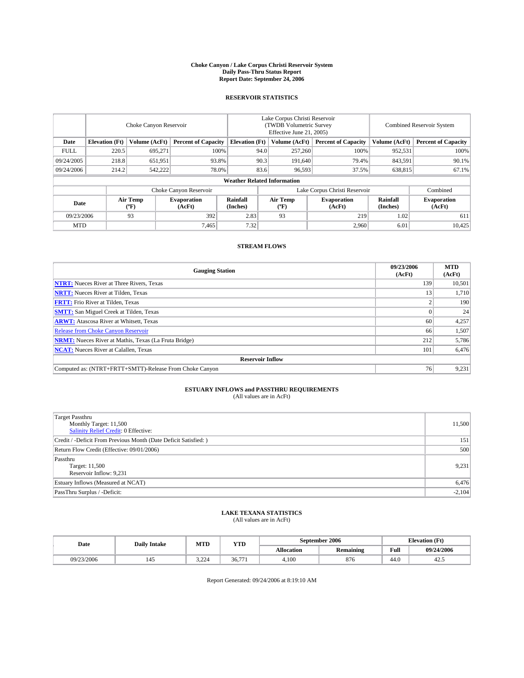#### **Choke Canyon / Lake Corpus Christi Reservoir System Daily Pass-Thru Status Report Report Date: September 24, 2006**

### **RESERVOIR STATISTICS**

|             | Choke Canyon Reservoir                                               |                         |                              |                      | Lake Corpus Christi Reservoir<br>(TWDB Volumetric Survey<br>Effective June 21, 2005) |                            |                               |                            | Combined Reservoir System    |  |  |  |
|-------------|----------------------------------------------------------------------|-------------------------|------------------------------|----------------------|--------------------------------------------------------------------------------------|----------------------------|-------------------------------|----------------------------|------------------------------|--|--|--|
| Date        | <b>Elevation</b> (Ft)<br>Volume (AcFt)<br><b>Percent of Capacity</b> |                         | <b>Elevation</b> (Ft)        |                      | Volume (AcFt)                                                                        | <b>Percent of Capacity</b> | Volume (AcFt)                 | <b>Percent of Capacity</b> |                              |  |  |  |
| <b>FULL</b> | 220.5                                                                | 695,271                 |                              | 100%                 | 94.0                                                                                 | 257,260                    | 100%                          | 952,531                    | 100%                         |  |  |  |
| 09/24/2005  | 218.8                                                                | 651,951                 | 93.8%                        |                      | 90.3                                                                                 | 191,640                    | 79.4%                         | 843,591                    | 90.1%                        |  |  |  |
| 09/24/2006  | 214.2                                                                | 542,222                 |                              | 83.6<br>78.0%        |                                                                                      | 96,593                     | 37.5%                         | 638,815                    | 67.1%                        |  |  |  |
|             | <b>Weather Related Information</b>                                   |                         |                              |                      |                                                                                      |                            |                               |                            |                              |  |  |  |
|             |                                                                      |                         | Choke Canyon Reservoir       |                      |                                                                                      |                            | Lake Corpus Christi Reservoir |                            | Combined                     |  |  |  |
| Date        |                                                                      | <b>Air Temp</b><br>(°F) | <b>Evaporation</b><br>(AcFt) | Rainfall<br>(Inches) |                                                                                      | Air Temp<br>("F)           | <b>Evaporation</b><br>(AcFt)  | Rainfall<br>(Inches)       | <b>Evaporation</b><br>(AcFt) |  |  |  |
| 09/23/2006  |                                                                      | 93<br>392               |                              | 2.83                 |                                                                                      | 93                         | 219                           | 1.02                       | 611                          |  |  |  |
| <b>MTD</b>  |                                                                      |                         | 7,465                        | 7.32                 |                                                                                      |                            | 2,960                         | 6.01                       | 10,425                       |  |  |  |

## **STREAM FLOWS**

| <b>Gauging Station</b>                                       | 09/23/2006<br>(AcFt) | <b>MTD</b><br>(AcFt) |
|--------------------------------------------------------------|----------------------|----------------------|
| <b>NTRT:</b> Nueces River at Three Rivers, Texas             | 139                  | 10,501               |
| <b>NRTT:</b> Nueces River at Tilden, Texas                   | 13                   | 1,710                |
| <b>FRTT:</b> Frio River at Tilden, Texas                     |                      | 190                  |
| <b>SMTT:</b> San Miguel Creek at Tilden, Texas               |                      | 24                   |
| <b>ARWT:</b> Atascosa River at Whitsett, Texas               | 60                   | 4,257                |
| <b>Release from Choke Canyon Reservoir</b>                   | 66                   | 1,507                |
| <b>NRMT:</b> Nueces River at Mathis, Texas (La Fruta Bridge) | 212                  | 5,786                |
| <b>NCAT:</b> Nueces River at Calallen, Texas                 | 101                  | 6,476                |
| <b>Reservoir Inflow</b>                                      |                      |                      |
| Computed as: (NTRT+FRTT+SMTT)-Release From Choke Canyon      | 76 <sub>1</sub>      | 9,231                |

# **ESTUARY INFLOWS and PASSTHRU REQUIREMENTS**<br>(All values are in AcFt)

| Target Passthru<br>Monthly Target: 11,500<br>Salinity Relief Credit: 0 Effective: | 11,500   |
|-----------------------------------------------------------------------------------|----------|
| Credit / -Deficit From Previous Month (Date Deficit Satisfied: )                  | 151      |
| Return Flow Credit (Effective: 09/01/2006)                                        | 500      |
| Passthru<br>Target: 11,500<br>Reservoir Inflow: 9,231                             | 9,231    |
| Estuary Inflows (Measured at NCAT)                                                | 6,476    |
| PassThru Surplus / -Deficit:                                                      | $-2,104$ |

#### **LAKE TEXANA STATISTICS** (All values are in AcFt)

|  | Date       | <b>Daily Intake</b> | MTT<br>IVI I L | <b>YTD</b>                    |                   | September 2006   |      | <b>Elevation (Ft)</b> |
|--|------------|---------------------|----------------|-------------------------------|-------------------|------------------|------|-----------------------|
|  |            |                     |                |                               | <b>Allocation</b> | <b>Remaining</b> | Full | 09/24/2006            |
|  | 09/23/2006 |                     | 3.224          | $\sim$<br>$-$<br>ヾゎ<br>$JU+I$ | 4.100             | 876              | 44.0 | 42.3                  |

Report Generated: 09/24/2006 at 8:19:10 AM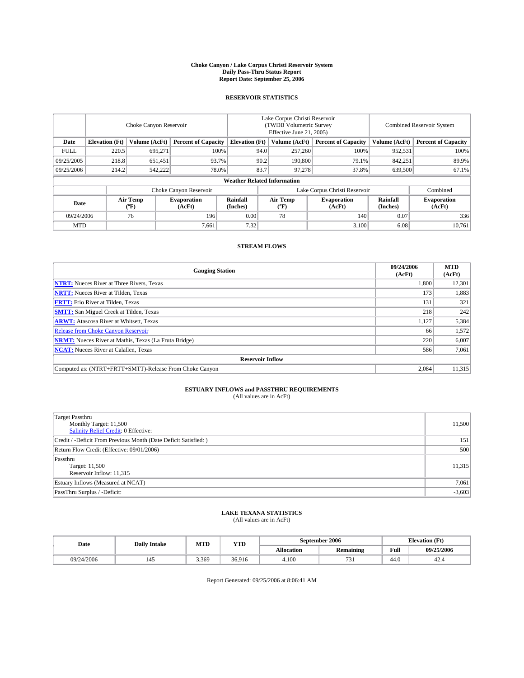#### **Choke Canyon / Lake Corpus Christi Reservoir System Daily Pass-Thru Status Report Report Date: September 25, 2006**

### **RESERVOIR STATISTICS**

|             | Choke Canyon Reservoir                                              |                         |                              |                       | Lake Corpus Christi Reservoir<br>(TWDB Volumetric Survey<br>Effective June 21, 2005) |                  |                              | Combined Reservoir System |                              |  |  |  |
|-------------|---------------------------------------------------------------------|-------------------------|------------------------------|-----------------------|--------------------------------------------------------------------------------------|------------------|------------------------------|---------------------------|------------------------------|--|--|--|
| Date        | <b>Elevation</b> (Ft)                                               | Volume (AcFt)           | <b>Percent of Capacity</b>   | <b>Elevation</b> (Ft) |                                                                                      | Volume (AcFt)    | <b>Percent of Capacity</b>   | Volume (AcFt)             | <b>Percent of Capacity</b>   |  |  |  |
| <b>FULL</b> | 220.5                                                               | 695.271                 |                              | 100%                  | 94.0                                                                                 | 257,260          | 100%                         | 952,531                   | 100%                         |  |  |  |
| 09/25/2005  | 218.8                                                               | 651,451                 | 93.7%                        |                       | 90.2                                                                                 | 190,800          | 79.1%                        | 842,251                   | 89.9%                        |  |  |  |
| 09/25/2006  | 214.2                                                               | 542,222                 | 78.0%                        |                       | 83.7                                                                                 | 97.278           | 37.8%                        | 639,500                   | 67.1%                        |  |  |  |
|             | <b>Weather Related Information</b>                                  |                         |                              |                       |                                                                                      |                  |                              |                           |                              |  |  |  |
|             | Choke Canyon Reservoir<br>Lake Corpus Christi Reservoir<br>Combined |                         |                              |                       |                                                                                      |                  |                              |                           |                              |  |  |  |
| Date        |                                                                     | <b>Air Temp</b><br>(°F) | <b>Evaporation</b><br>(AcFt) | Rainfall<br>(Inches)  |                                                                                      | Air Temp<br>("F) | <b>Evaporation</b><br>(AcFt) | Rainfall<br>(Inches)      | <b>Evaporation</b><br>(AcFt) |  |  |  |
| 09/24/2006  |                                                                     | 76                      | 196                          | 0.00                  |                                                                                      | 78               | 140                          | 0.07                      | 336                          |  |  |  |
| <b>MTD</b>  |                                                                     |                         | 7,661                        | 7.32                  |                                                                                      |                  | 3,100                        | 6.08                      | 10,761                       |  |  |  |

## **STREAM FLOWS**

| <b>Gauging Station</b>                                       | 09/24/2006<br>(AcFt) | <b>MTD</b><br>(AcFt) |
|--------------------------------------------------------------|----------------------|----------------------|
| <b>NTRT:</b> Nueces River at Three Rivers, Texas             | 1,800                | 12,301               |
| <b>NRTT:</b> Nueces River at Tilden, Texas                   | 173                  | 1,883                |
| <b>FRTT:</b> Frio River at Tilden, Texas                     | 131                  | 321                  |
| <b>SMTT:</b> San Miguel Creek at Tilden, Texas               | 218                  | 242                  |
| <b>ARWT:</b> Atascosa River at Whitsett, Texas               | 1,127                | 5,384                |
| <b>Release from Choke Canyon Reservoir</b>                   | 66                   | 1,572                |
| <b>NRMT:</b> Nueces River at Mathis, Texas (La Fruta Bridge) | 220                  | 6,007                |
| <b>NCAT:</b> Nueces River at Calallen, Texas                 | 586                  | 7,061                |
| <b>Reservoir Inflow</b>                                      |                      |                      |
| Computed as: (NTRT+FRTT+SMTT)-Release From Choke Canyon      | 2,084                | 11,315               |

# **ESTUARY INFLOWS and PASSTHRU REQUIREMENTS**<br>(All values are in AcFt)

| <b>Target Passthru</b><br>Monthly Target: 11,500<br>Salinity Relief Credit: 0 Effective: | 11,500   |
|------------------------------------------------------------------------------------------|----------|
| Credit / -Deficit From Previous Month (Date Deficit Satisfied: )                         | 151      |
| Return Flow Credit (Effective: 09/01/2006)                                               | 500      |
| Passthru<br>Target: 11,500<br>Reservoir Inflow: 11,315                                   | 11,315   |
| Estuary Inflows (Measured at NCAT)                                                       | 7,061    |
| PassThru Surplus / -Deficit:                                                             | $-3,603$ |

#### **LAKE TEXANA STATISTICS** (All values are in AcFt)

| Date       | <b>Daily Intake</b> | MTT<br>IVI I L | <b>YTD</b>                           |            | September 2006   | <b>Elevation (Ft)</b> |            |
|------------|---------------------|----------------|--------------------------------------|------------|------------------|-----------------------|------------|
|            |                     |                |                                      | Allocation | <b>Remaining</b> | Full                  | 09/25/2006 |
| 09/24/2006 |                     | 3.369          | 36016<br><b><i><u>JUIJIL</u></i></b> | 4.100      | $\sim$<br>, , ,  | 44.0                  | 44.4       |

Report Generated: 09/25/2006 at 8:06:41 AM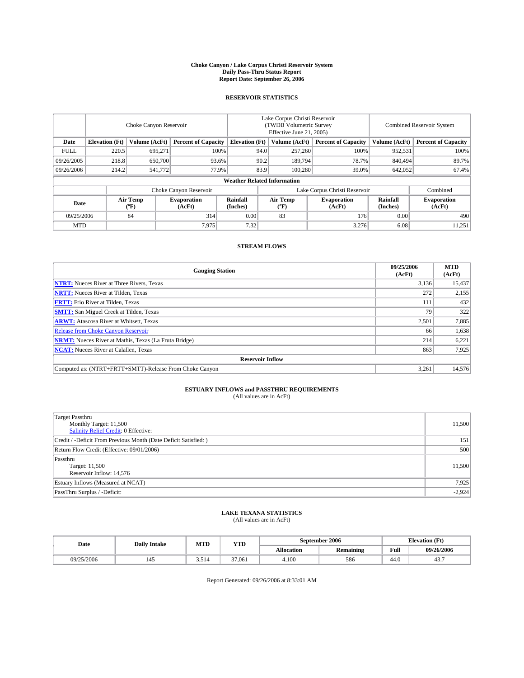#### **Choke Canyon / Lake Corpus Christi Reservoir System Daily Pass-Thru Status Report Report Date: September 26, 2006**

### **RESERVOIR STATISTICS**

|             | Choke Canyon Reservoir             |                  |                              |                       | Lake Corpus Christi Reservoir<br>(TWDB Volumetric Survey<br>Effective June 21, 2005) |                  |                               |                      | <b>Combined Reservoir System</b> |  |  |  |
|-------------|------------------------------------|------------------|------------------------------|-----------------------|--------------------------------------------------------------------------------------|------------------|-------------------------------|----------------------|----------------------------------|--|--|--|
| Date        | <b>Elevation</b> (Ft)              | Volume (AcFt)    | <b>Percent of Capacity</b>   | <b>Elevation</b> (Ft) |                                                                                      | Volume (AcFt)    | <b>Percent of Capacity</b>    | Volume (AcFt)        | <b>Percent of Capacity</b>       |  |  |  |
| <b>FULL</b> | 220.5                              | 695.271          |                              | 100%                  | 94.0                                                                                 | 257,260          | 100%                          | 952,531              | 100%                             |  |  |  |
| 09/26/2005  | 218.8                              | 650,700          |                              | 93.6%                 | 90.2                                                                                 | 189,794          | 78.7%                         | 840,494              | 89.7%                            |  |  |  |
| 09/26/2006  | 214.2                              | 541,772          |                              | 77.9%                 | 83.9                                                                                 | 100.280          | 39.0%                         | 642,052              | 67.4%                            |  |  |  |
|             | <b>Weather Related Information</b> |                  |                              |                       |                                                                                      |                  |                               |                      |                                  |  |  |  |
|             |                                    |                  | Choke Canyon Reservoir       |                       |                                                                                      |                  | Lake Corpus Christi Reservoir |                      | Combined                         |  |  |  |
| Date        |                                    | Air Temp<br>(°F) | <b>Evaporation</b><br>(AcFt) | Rainfall<br>(Inches)  |                                                                                      | Air Temp<br>("F) | <b>Evaporation</b><br>(AcFt)  | Rainfall<br>(Inches) | <b>Evaporation</b><br>(AcFt)     |  |  |  |
| 09/25/2006  |                                    | 84               | 314                          | 0.00                  |                                                                                      | 83               | 176                           | 0.00                 | 490                              |  |  |  |
| <b>MTD</b>  |                                    |                  | 7.975                        | 7.32                  |                                                                                      |                  | 3,276                         | 6.08                 | 11,251                           |  |  |  |

## **STREAM FLOWS**

| <b>Gauging Station</b>                                       | 09/25/2006<br>(AcFt) | <b>MTD</b><br>(AcFt) |
|--------------------------------------------------------------|----------------------|----------------------|
| <b>NTRT:</b> Nueces River at Three Rivers, Texas             | 3,136                | 15,437               |
| <b>NRTT:</b> Nueces River at Tilden, Texas                   | 272                  | 2,155                |
| <b>FRTT:</b> Frio River at Tilden, Texas                     | 111                  | 432                  |
| <b>SMTT:</b> San Miguel Creek at Tilden, Texas               | 79                   | 322                  |
| <b>ARWT:</b> Atascosa River at Whitsett, Texas               | 2,501                | 7,885                |
| <b>Release from Choke Canyon Reservoir</b>                   | 66                   | 1,638                |
| <b>NRMT:</b> Nueces River at Mathis, Texas (La Fruta Bridge) | 214                  | 6,221                |
| <b>NCAT:</b> Nueces River at Calallen, Texas                 | 863                  | 7,925                |
| <b>Reservoir Inflow</b>                                      |                      |                      |
| Computed as: (NTRT+FRTT+SMTT)-Release From Choke Canyon      | 3,261                | 14,576               |

# **ESTUARY INFLOWS and PASSTHRU REQUIREMENTS**<br>(All values are in AcFt)

| <b>Target Passthru</b><br>Monthly Target: 11,500<br>Salinity Relief Credit: 0 Effective: | 11,500   |
|------------------------------------------------------------------------------------------|----------|
| Credit / -Deficit From Previous Month (Date Deficit Satisfied: )                         | 151      |
| Return Flow Credit (Effective: 09/01/2006)                                               | 500      |
| Passthru<br>Target: 11,500<br>Reservoir Inflow: 14,576                                   | 11,500   |
| Estuary Inflows (Measured at NCAT)                                                       | 7,925    |
| PassThru Surplus / -Deficit:                                                             | $-2,924$ |

#### **LAKE TEXANA STATISTICS** (All values are in AcFt)

|  | Date       | <b>Daily Intake</b> | MTT<br>IVI I L | YTD    |            | September 2006   | <b>Elevation (Ft)</b> |            |
|--|------------|---------------------|----------------|--------|------------|------------------|-----------------------|------------|
|  |            |                     |                |        | Allocation | <b>Remaining</b> | Full                  | 09/26/2006 |
|  | 09/25/2006 |                     | 5.514          | 37.061 | 4.100      | 586              | 44.0                  | 45.,       |

Report Generated: 09/26/2006 at 8:33:01 AM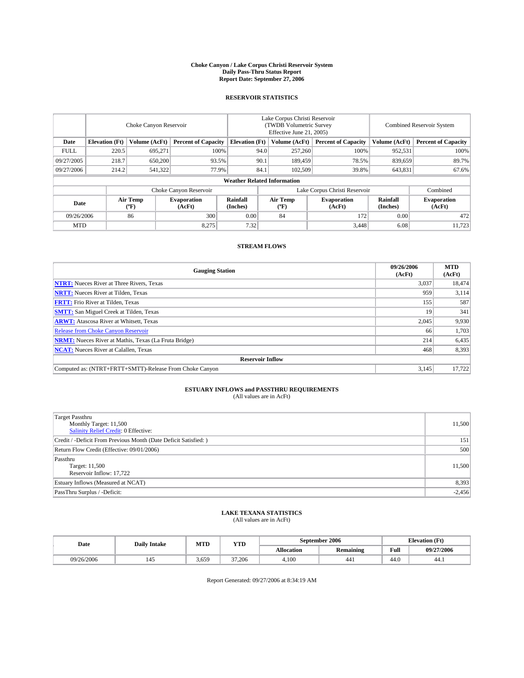#### **Choke Canyon / Lake Corpus Christi Reservoir System Daily Pass-Thru Status Report Report Date: September 27, 2006**

### **RESERVOIR STATISTICS**

|             | Choke Canyon Reservoir             |                         |                              |                       | Lake Corpus Christi Reservoir<br>(TWDB Volumetric Survey<br>Effective June 21, 2005) |                  |                               | Combined Reservoir System |                              |  |  |  |
|-------------|------------------------------------|-------------------------|------------------------------|-----------------------|--------------------------------------------------------------------------------------|------------------|-------------------------------|---------------------------|------------------------------|--|--|--|
| Date        | <b>Elevation</b> (Ft)              | Volume (AcFt)           | <b>Percent of Capacity</b>   | <b>Elevation</b> (Ft) |                                                                                      | Volume (AcFt)    | <b>Percent of Capacity</b>    | Volume (AcFt)             | <b>Percent of Capacity</b>   |  |  |  |
| <b>FULL</b> | 220.5                              | 695.271                 |                              | 100%                  | 94.0                                                                                 | 257,260          | 100%                          | 952,531                   | 100%                         |  |  |  |
| 09/27/2005  | 218.7                              | 650,200                 | 93.5%                        |                       | 90.1                                                                                 | 189,459          | 78.5%                         | 839,659                   | 89.7%                        |  |  |  |
| 09/27/2006  | 214.2                              | 541,322                 | 77.9%                        |                       | 84.1                                                                                 | 102.509          | 39.8%                         | 643,831                   | 67.6%                        |  |  |  |
|             | <b>Weather Related Information</b> |                         |                              |                       |                                                                                      |                  |                               |                           |                              |  |  |  |
|             |                                    |                         | Choke Canyon Reservoir       |                       |                                                                                      |                  | Lake Corpus Christi Reservoir |                           | Combined                     |  |  |  |
| Date        |                                    | <b>Air Temp</b><br>(°F) | <b>Evaporation</b><br>(AcFt) | Rainfall<br>(Inches)  |                                                                                      | Air Temp<br>("F) | <b>Evaporation</b><br>(AcFt)  | Rainfall<br>(Inches)      | <b>Evaporation</b><br>(AcFt) |  |  |  |
| 09/26/2006  |                                    | 86                      | 300                          | 0.00                  |                                                                                      | 84               | 172                           | 0.00                      | 472                          |  |  |  |
| <b>MTD</b>  |                                    |                         | 8,275                        | 7.32                  |                                                                                      |                  | 3,448                         | 6.08                      | 11,723                       |  |  |  |

### **STREAM FLOWS**

| <b>Gauging Station</b>                                       | 09/26/2006<br>(AcFt) | <b>MTD</b><br>(AcFt) |
|--------------------------------------------------------------|----------------------|----------------------|
| <b>NTRT:</b> Nueces River at Three Rivers, Texas             | 3,037                | 18,474               |
| <b>NRTT:</b> Nueces River at Tilden, Texas                   | 959                  | 3,114                |
| <b>FRTT:</b> Frio River at Tilden, Texas                     | 155                  | 587                  |
| <b>SMTT:</b> San Miguel Creek at Tilden, Texas               | 19                   | 341                  |
| <b>ARWT:</b> Atascosa River at Whitsett, Texas               | 2,045                | 9,930                |
| <b>Release from Choke Canyon Reservoir</b>                   | 66                   | 1,703                |
| <b>NRMT:</b> Nueces River at Mathis, Texas (La Fruta Bridge) | 214                  | 6,435                |
| <b>NCAT:</b> Nueces River at Calallen, Texas                 | 468                  | 8,393                |
| <b>Reservoir Inflow</b>                                      |                      |                      |
| Computed as: (NTRT+FRTT+SMTT)-Release From Choke Canyon      | 3,145                | 17,722               |

# **ESTUARY INFLOWS and PASSTHRU REQUIREMENTS**<br>(All values are in AcFt)

| <b>Target Passthru</b><br>Monthly Target: 11,500<br>Salinity Relief Credit: 0 Effective: | 11,500   |
|------------------------------------------------------------------------------------------|----------|
| Credit / -Deficit From Previous Month (Date Deficit Satisfied: )                         | 151      |
| Return Flow Credit (Effective: 09/01/2006)                                               | 500      |
| Passthru<br>Target: 11,500<br>Reservoir Inflow: 17,722                                   | 11,500   |
| Estuary Inflows (Measured at NCAT)                                                       | 8,393    |
| PassThru Surplus / -Deficit:                                                             | $-2,456$ |

#### **LAKE TEXANA STATISTICS** (All values are in AcFt)

|  | Date       | <b>Daily Intake</b> | MTT<br><b>YTD</b><br>IVI I L |        |            | September 2006   | <b>Elevation (Ft)</b> |            |
|--|------------|---------------------|------------------------------|--------|------------|------------------|-----------------------|------------|
|  |            |                     |                              |        | Allocation | <b>Remaining</b> | Full                  | 09/27/2006 |
|  | 09/26/2006 |                     | 3.659                        | 37.206 | 4.100      | 441              | 44.0                  | 44.1       |

Report Generated: 09/27/2006 at 8:34:19 AM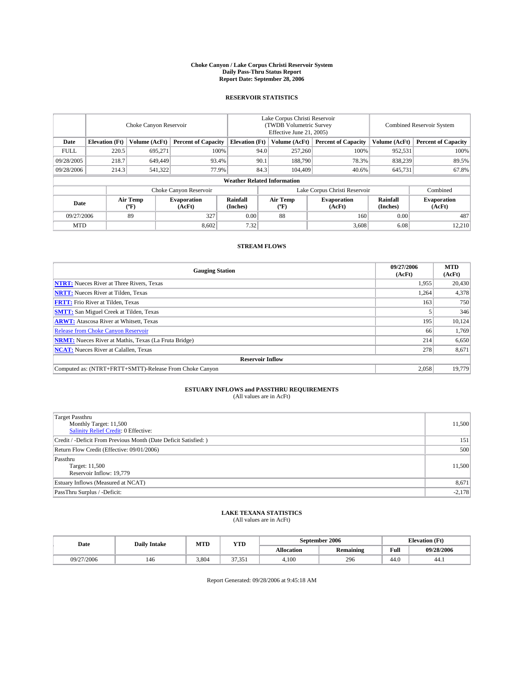#### **Choke Canyon / Lake Corpus Christi Reservoir System Daily Pass-Thru Status Report Report Date: September 28, 2006**

### **RESERVOIR STATISTICS**

|             | Choke Canyon Reservoir |                         |                              |                                    | Lake Corpus Christi Reservoir<br>(TWDB Volumetric Survey<br>Effective June 21, 2005) |                  |                               |                      | Combined Reservoir System    |  |  |
|-------------|------------------------|-------------------------|------------------------------|------------------------------------|--------------------------------------------------------------------------------------|------------------|-------------------------------|----------------------|------------------------------|--|--|
| Date        | <b>Elevation</b> (Ft)  | Volume (AcFt)           | <b>Percent of Capacity</b>   | <b>Elevation</b> (Ft)              |                                                                                      | Volume (AcFt)    | <b>Percent of Capacity</b>    | Volume (AcFt)        | <b>Percent of Capacity</b>   |  |  |
| <b>FULL</b> | 220.5                  | 695.271                 |                              | 100%                               | 94.0                                                                                 | 257,260          | 100%                          | 952,531              | 100%                         |  |  |
| 09/28/2005  | 218.7                  | 649,449                 | 93.4%                        |                                    | 90.1                                                                                 | 188,790          | 78.3%                         | 838,239              | 89.5%                        |  |  |
| 09/28/2006  | 214.3                  | 541,322                 | 77.9%                        |                                    | 84.3                                                                                 | 104,409          | 40.6%                         | 645,731              | 67.8%                        |  |  |
|             |                        |                         |                              | <b>Weather Related Information</b> |                                                                                      |                  |                               |                      |                              |  |  |
|             |                        |                         | Choke Canyon Reservoir       |                                    |                                                                                      |                  | Lake Corpus Christi Reservoir |                      | Combined                     |  |  |
| Date        |                        | <b>Air Temp</b><br>(°F) | <b>Evaporation</b><br>(AcFt) | Rainfall<br>(Inches)               |                                                                                      | Air Temp<br>("F) | <b>Evaporation</b><br>(AcFt)  | Rainfall<br>(Inches) | <b>Evaporation</b><br>(AcFt) |  |  |
| 09/27/2006  |                        | 89                      | 327                          | 0.00                               |                                                                                      | 88               | 160                           | 0.00                 | 487                          |  |  |
| <b>MTD</b>  |                        |                         | 8,602                        | 7.32                               |                                                                                      |                  | 3,608                         | 6.08                 | 12,210                       |  |  |

## **STREAM FLOWS**

| <b>Gauging Station</b>                                       | 09/27/2006<br>(AcFt) | <b>MTD</b><br>(AcFt) |
|--------------------------------------------------------------|----------------------|----------------------|
| <b>NTRT:</b> Nueces River at Three Rivers, Texas             | 1,955                | 20,430               |
| <b>NRTT:</b> Nueces River at Tilden, Texas                   | 1,264                | 4,378                |
| <b>FRTT:</b> Frio River at Tilden, Texas                     | 163                  | 750                  |
| <b>SMTT:</b> San Miguel Creek at Tilden, Texas               |                      | 346                  |
| <b>ARWT:</b> Atascosa River at Whitsett, Texas               | 195                  | 10,124               |
| <b>Release from Choke Canyon Reservoir</b>                   | 66                   | 1,769                |
| <b>NRMT:</b> Nueces River at Mathis, Texas (La Fruta Bridge) | 214                  | 6,650                |
| <b>NCAT:</b> Nueces River at Calallen, Texas                 | 278                  | 8,671                |
| <b>Reservoir Inflow</b>                                      |                      |                      |
| Computed as: (NTRT+FRTT+SMTT)-Release From Choke Canyon      | 2,058                | 19.779               |

# **ESTUARY INFLOWS and PASSTHRU REQUIREMENTS**<br>(All values are in AcFt)

| <b>Target Passthru</b><br>Monthly Target: 11,500<br>Salinity Relief Credit: 0 Effective: | 11,500   |
|------------------------------------------------------------------------------------------|----------|
| Credit / -Deficit From Previous Month (Date Deficit Satisfied: )                         | 151      |
| Return Flow Credit (Effective: 09/01/2006)                                               | 500      |
| Passthru<br>Target: 11,500<br>Reservoir Inflow: 19,779                                   | 11,500   |
| Estuary Inflows (Measured at NCAT)                                                       | 8,671    |
| PassThru Surplus / -Deficit:                                                             | $-2,178$ |

#### **LAKE TEXANA STATISTICS** (All values are in AcFt)

| Date       | <b>Daily Intake</b> | MTT<br>IVI I L | <b>YTD</b>              |                   | September 2006   | <b>Elevation (Ft)</b> |            |
|------------|---------------------|----------------|-------------------------|-------------------|------------------|-----------------------|------------|
|            |                     |                |                         | <b>Allocation</b> | <b>Remaining</b> | Full                  | 09/28/2006 |
| 09/27/2006 | 140                 | 3.804          | 27.25<br><i>.,,,,</i> , | 4.100             | 296              | 44.0                  | 44.1       |

Report Generated: 09/28/2006 at 9:45:18 AM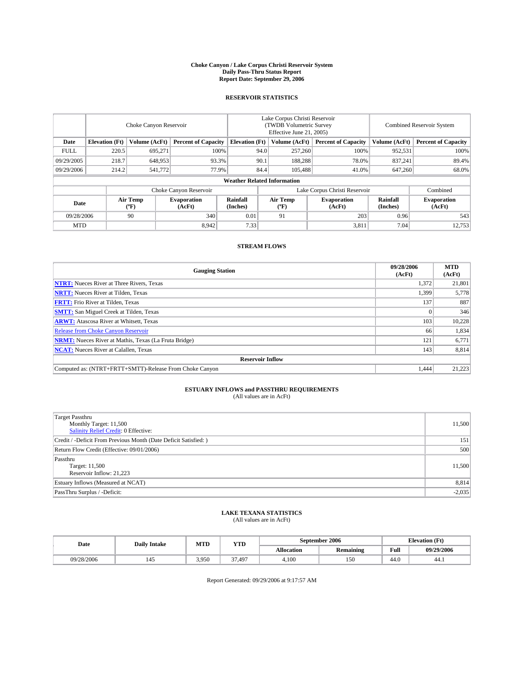#### **Choke Canyon / Lake Corpus Christi Reservoir System Daily Pass-Thru Status Report Report Date: September 29, 2006**

### **RESERVOIR STATISTICS**

|             | Choke Canyon Reservoir |                         |                              |                                    | Lake Corpus Christi Reservoir<br>(TWDB Volumetric Survey<br>Effective June 21, 2005) |                  |                               |                      | Combined Reservoir System    |  |  |
|-------------|------------------------|-------------------------|------------------------------|------------------------------------|--------------------------------------------------------------------------------------|------------------|-------------------------------|----------------------|------------------------------|--|--|
| Date        | <b>Elevation</b> (Ft)  | Volume (AcFt)           | <b>Percent of Capacity</b>   | <b>Elevation</b> (Ft)              |                                                                                      | Volume (AcFt)    | <b>Percent of Capacity</b>    | Volume (AcFt)        | <b>Percent of Capacity</b>   |  |  |
| <b>FULL</b> | 220.5                  | 695.271                 |                              | 100%                               | 94.0                                                                                 | 257,260          | 100%                          | 952,531              | 100%                         |  |  |
| 09/29/2005  | 218.7                  | 648,953                 | 93.3%                        |                                    | 90.1                                                                                 | 188,288          | 78.0%                         | 837.241              | 89.4%                        |  |  |
| 09/29/2006  | 214.2                  | 541,772                 | 77.9%                        |                                    | 84.4                                                                                 | 105,488          | 41.0%                         | 647,260              | 68.0%                        |  |  |
|             |                        |                         |                              | <b>Weather Related Information</b> |                                                                                      |                  |                               |                      |                              |  |  |
|             |                        |                         | Choke Canyon Reservoir       |                                    |                                                                                      |                  | Lake Corpus Christi Reservoir |                      | Combined                     |  |  |
| Date        |                        | <b>Air Temp</b><br>(°F) | <b>Evaporation</b><br>(AcFt) | Rainfall<br>(Inches)               |                                                                                      | Air Temp<br>("F) | <b>Evaporation</b><br>(AcFt)  | Rainfall<br>(Inches) | <b>Evaporation</b><br>(AcFt) |  |  |
| 09/28/2006  |                        | 90                      | 340                          | 0.01                               |                                                                                      | 91               | 203                           | 0.96                 | 543                          |  |  |
| <b>MTD</b>  |                        |                         | 8,942                        | 7.33                               |                                                                                      |                  | 3,811                         | 7.04                 | 12,753                       |  |  |

## **STREAM FLOWS**

| <b>Gauging Station</b>                                       | 09/28/2006<br>(AcFt) | <b>MTD</b><br>(AcFt) |
|--------------------------------------------------------------|----------------------|----------------------|
| <b>NTRT:</b> Nueces River at Three Rivers, Texas             | 1,372                | 21,801               |
| <b>NRTT:</b> Nueces River at Tilden, Texas                   | 1,399                | 5,778                |
| <b>FRTT:</b> Frio River at Tilden, Texas                     | 137                  | 887                  |
| <b>SMTT:</b> San Miguel Creek at Tilden, Texas               |                      | 346                  |
| <b>ARWT:</b> Atascosa River at Whitsett, Texas               | 103                  | 10,228               |
| <b>Release from Choke Canyon Reservoir</b>                   | 66                   | 1,834                |
| <b>NRMT:</b> Nueces River at Mathis, Texas (La Fruta Bridge) | 121                  | 6,771                |
| <b>NCAT:</b> Nueces River at Calallen, Texas                 | 143                  | 8,814                |
| <b>Reservoir Inflow</b>                                      |                      |                      |
| Computed as: (NTRT+FRTT+SMTT)-Release From Choke Canyon      | 1.444                | 21,223               |

# **ESTUARY INFLOWS and PASSTHRU REQUIREMENTS**<br>(All values are in AcFt)

| <b>Target Passthru</b><br>Monthly Target: 11,500<br>Salinity Relief Credit: 0 Effective: | 11,500   |
|------------------------------------------------------------------------------------------|----------|
| Credit / -Deficit From Previous Month (Date Deficit Satisfied: )                         | 151      |
| Return Flow Credit (Effective: 09/01/2006)                                               | 500      |
| Passthru<br>Target: 11,500<br>Reservoir Inflow: 21,223                                   | 11,500   |
| Estuary Inflows (Measured at NCAT)                                                       | 8,814    |
| PassThru Surplus / -Deficit:                                                             | $-2,035$ |

#### **LAKE TEXANA STATISTICS** (All values are in AcFt)

| Date       | <b>Daily Intake</b> | MTT<br>IVI I L | <b>YTD</b>     |                   | September 2006   | <b>Elevation (Ft)</b> |            |
|------------|---------------------|----------------|----------------|-------------------|------------------|-----------------------|------------|
|            |                     |                |                | <b>Allocation</b> | <b>Remaining</b> | Full                  | 09/29/2006 |
| 09/28/2006 |                     | 3.950          | $\sim$<br>.497 | 4.100             | 150              | 44.0                  | 44.1       |

Report Generated: 09/29/2006 at 9:17:57 AM